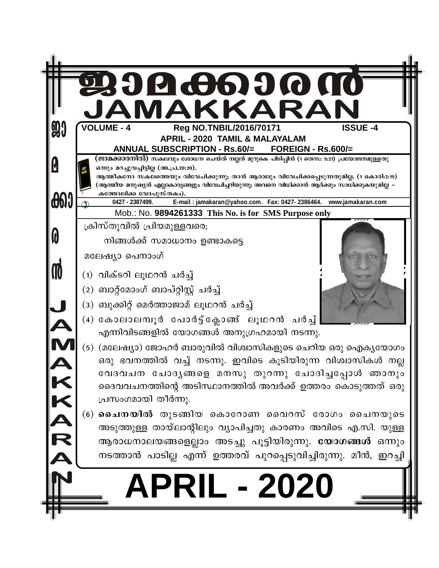| <b>VOLUME - 4</b><br><b>ISSUE-4</b><br>Reg NO.TNBIL/2016/70171<br><b>APRIL - 2020 TAMIL &amp; MALAYALAM</b>                                                                              |
|------------------------------------------------------------------------------------------------------------------------------------------------------------------------------------------|
| <b>ANNUAL SUBSCRIPTION - Rs.60/=</b><br><b>FOREIGN - Rs.600/=</b><br>്ജാമക്കാരനിൽ) സകലവും ശോധന ചെയ്ത് നല്ലത് മുറുകെ പിടിപ്പിൻ (1 തെസ: 5:21) പ്രയോജനമുള്ളതു                               |
| ഒന്നും മറച്ചുവച്ചിട്ടില്ല (അ.പ്ര.20:20).                                                                                                                                                 |
| ആത്മീകനോ സകലത്തെയും വിവേചിക്കുന്നു; താൻ ആരാലും വിവേചിക്കപ്പെടുന്നതുമില്ല. (1 കൊരി:2:15)<br>(ആത്മീയ മനുഷ്യൻ എല്ലാകാര്യങ്ങളും വിവേചിച്ചറിയുന്നു; അവനെ വിധിക്കാൻ ആർക്കും സാധിക്കുകയുമില്ല – |
| കത്തോലിക്ക വേദപുസ്തകം).                                                                                                                                                                  |
| E-mail: jamakaran@yahoo.com. Fax: 0427-2386464. www.jamakaran.com<br>0427 - 2387499.<br>Mob.: No. 9894261333 This No. is for SMS Purpose only                                            |
| ക്രിസ്തുവിൽ പ്രിയമുള്ളവരെ;                                                                                                                                                               |
| നിങ്ങൾക്ക് സമാധാനം ഉണ്ടാകട്ടെ                                                                                                                                                            |
|                                                                                                                                                                                          |
| മലേഷ്യാ പെനാംഗ്                                                                                                                                                                          |
| (1) വിക്ടറി ലൂഥറൻ ചർച്ച്                                                                                                                                                                 |
| (2) ബാറ്റ്മോംഗ് ബാപ്റ്റിസ്റ്റ് ചർച്ച്                                                                                                                                                    |
| (3) ബുക്കിറ്റ് മെർത്താജാമ് ലൂഥറൻ ചർച്ച്                                                                                                                                                  |
| (4) കോലാലമ്പൂർ പോർട്ട്ക്ലോങ്ങ് ലൂഥറൻ ചർച്ച്                                                                                                                                              |
| എന്നിവിടങ്ങളിൽ യോഗങ്ങൾ അനുഗ്രഹമായി നടന്നു.                                                                                                                                               |
| (5) (മലേഷ്യാ) ജോഹർ ബാരുവിൽ വിശ്വാസികളുടെ ചെറിയ ഒരു ഐക്യയോഗം                                                                                                                              |
| ഒരു ഭവനത്തിൽ വച്ച് നടന്നു. ഇവിടെ കൂടിയിരുന്ന വിശ്വാസികൾ നല്ല                                                                                                                             |
| വേദവചന ചോദൃങ്ങളെ മനസു തുറന്നു ചോദിച്ചപ്പോൾ ഞാനും                                                                                                                                         |
| ദൈവവചനത്തിന്റെ അടിസ്ഥാനത്തിൽ അവർക്ക് ഉത്തരം കൊടുത്തത് ഒരു                                                                                                                                |
| പ്രസംഗമായി തീർന്നു.                                                                                                                                                                      |
| (6) <b>ചൈനയിൽ</b> തുടങ്ങിയ കൊറോണ വൈറസ് രോഗം ചൈനയുടെ                                                                                                                                      |
| അടുത്തുള്ള തായ്ലാന്റിലും വ്യാപിച്ചതു കാരണം അവിടെ എ.സി. യുള്ള                                                                                                                             |
| ആരാധനാലയങ്ങളെല്ലാം അടച്ചു പൂട്ടിയിരുന്നു. <b>യോഗങ്ങൾ</b> ഒന്നും                                                                                                                          |
| നടത്താൻ പാടില്ല എന്ന് ഉത്തരവ് പുറപ്പെടുവിച്ചിരുന്നു. മീൻ, ഇറച്ചി                                                                                                                         |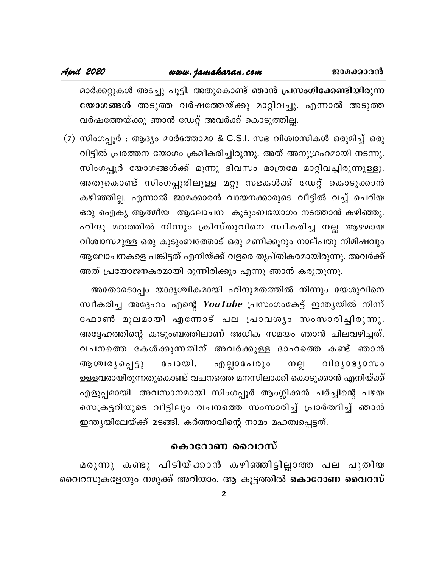മാർക്കറ്റുകൾ അടച്ചു പൂട്ടി. അതുകൊണ്ട് ഞാൻ പ്രസംഗിക്കേണ്ടിയിരുന്ന യോഗങ്ങൾ അടുത്ത വർഷത്തേയ്ക്കു മാറ്റിവച്ചു. എന്നാൽ അടുത്ത വർഷത്തേയ്ക്കു ഞാൻ ഡേറ്റ് അവർക്ക് കൊടുത്തില്ല.

(7) സിംഗപ്പൂർ : ആദ്യം മാർത്തോമാ & C.S.I. സഭ വിശ്വാസികൾ ഒരുമിച്ച് ഒരു വിട്ടിൽ പ്രരത്തന യോഗം ക്രമീകരിച്ചിരുന്നു. അത് അനുഗ്രഹമായി നടന്നു. സിംഗപ്പൂർ യോഗങ്ങൾക്ക് മൂന്നു ദിവസം മാത്രമേ മാറ്റിവച്ചിരുന്നുള്ളു. അതുകൊണ്ട് സിംഗപ്പൂരിലുള്ള മറ്റു സഭകൾക്ക് ഡേറ്റ് കൊടുക്കാൻ കഴിഞ്ഞില്ല. എന്നാൽ ജാമക്കാരൻ വായനക്കാരുടെ വീട്ടിൽ വച്ച് ചെറിയ ഒരു ഐക്യ ആത്മീയ ആലോചന കുടുംബയോഗം നടത്താൻ കഴിഞ്ഞു. ഹിന്ദു മതത്തിൽ നിന്നും ക്രിസ്തുവിനെ സ്വീകരിച്ച നല്ല ആഴമായ വിശ്വാസമുള്ള ഒരു കുടുംബത്തോട് ഒരു മണിക്കൂറും നാല്പതു നിമിഷവും ആലോചനകളെ പങ്കിട്ടത് എനിയ്ക്ക് വളരെ തൃപ്തികരമായിരുന്നു. അവർക്ക് അത് പ്രയോജനകരമായി രുന്നിരിക്കും എന്നു ഞാൻ കരുതുന്നു.

അതോടൊപ്പം യാദൃശ്ചികമായി ഹിന്ദുമതത്തിൽ നിന്നും യേശുവിനെ സ്വീകരിച്ച അദ്ദേഹം എന്റെ YouTube പ്രസംഗംകേട്ട് ഇന്ത്യയിൽ നിന്ന് ഫോൺ മൂലമായി എന്നോട് പല പ്രാവശ്യം സംസാരിച്ചിരുന്നു. അദ്ദേഹത്തിന്റെ കുടുംബത്തിലാണ് അധിക സമയം ഞാൻ ചിലവഴിച്ചത്. വചനത്തെ കേൾക്കുന്നതിന് അവർക്കുള്ള ദാഹത്തെ കണ്ട് ഞാൻ എല്ലാപേരും പോയി. നല്ല വിദ്യാഭ്യാസം ആശ്ചരൃപ്പെട്ടു ഉള്ളവരായിരുന്നതുകൊണ്ട് വചനത്തെ മനസിലാക്കി കൊടുക്കാൻ എനിയ്ക്ക് എളുപ്പമായി. അവസാനമായി സിംഗപ്പൂർ ആംഗ്ലിക്കൻ ചർച്ചിന്റെ പഴയ സെക്രട്ടറിയുടെ വീട്ടിലും വചനത്തെ സംസാരിച്ച് പ്രാർത്ഥിച്ച് ഞാൻ ഇന്ത്യയിലേയ്ക്ക് മടങ്ങി. കർത്താവിന്റെ നാമം മഹത്വപ്പെട്ടത്.

### കൊറോണ വൈറസ്

മരുന്നു കണ്ടു പിടിയ്ക്കാൻ കഴിഞ്ഞിട്ടില്ലാത്ത പല പുതിയ വൈറസുകളേയും നമുക്ക് അറിയാം. ആ കൂട്ടത്തിൽ **കൊറോണ വൈറസ്**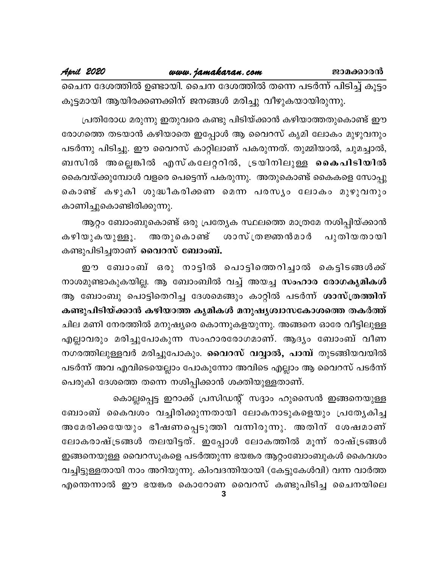ചൈന ദേശത്തിൽ ഉണ്ടായി. ചൈന ദേശത്തിൽ തന്നെ പടർന്ന് പിടിച്ച് കൂട്ടം കൂട്ടമായി ആയിരക്കണക്കിന് ജനങ്ങൾ മരിച്ചു വീഴുകയായിരുന്നു.

പ്രതിരോധ മരുന്നു ഇതുവരെ കണ്ടു പിടിയ്ക്കാൻ കഴിയാത്തതുകൊണ്ട് ഈ രോഗത്തെ തടയാൻ കഴിയാതെ ഇപ്പോൾ ആ വൈറസ് കൃമി ലോകം മുഴുവനും പടർന്നു പിടിച്ചു. ഈ വൈറസ് കാറ്റിലാണ് പകരുന്നത്. തുമ്മിയാൽ, ചുമച്ചാൽ, ബസിൽ അല്ലെങ്കിൽ എസ്കലേറ്ററിൽ, ട്രയിനിലുള്ള <mark>കൈപിടിയിൽ</mark> കൈവയ്ക്കുമ്പോൾ വളരെ പെട്ടെന്ന് പകരുന്നു. അതുകൊണ്ട് കൈകളെ സോപ്പു കൊണ്ട് കഴുകി ശുദ്ധീകരിക്കണ മെന്ന പരസ്യം ലോകം മുഴുവനും കാണിച്ചുകൊണ്ടിരിക്കുന്നു.

ആറ്റം ബോംബുകൊണ്ട് ഒരു പ്രത്യേക സ്ഥലത്തെ മാത്രമേ നശിപ്പിയ്ക്കാൻ ശാസ് ത്ര*ജ്ഞ*ൻമാർ കഴിയുകയുള്ളൂ. അതുകൊണ്ട് പുതിയതായ<u>ി</u> കണ്ടുപിടിച്ചതാണ് വൈറസ് ബോംബ്.

ഈ ബോംബ് ഒരു നാട്ടിൽ പൊട്ടിത്തെറിച്ചാൽ കെട്ടിടങ്ങൾക്ക് നാശമുണ്ടാകുകയില്ല. ആ ബോംബിൽ വച്ച് അയച്ച സംഹാര രോഗകൃമികൾ ആ ബോംബു പൊട്ടിതെറിച്ച ദേശമെങ്ങും കാറ്റിൽ പടർന്ന് <mark>ശാസ്ത്രത്തിന്</mark> കണ്ടുപിടിയ്ക്കാൻ കഴിയാത്ത കൃമികൾ മനുഷ്യശ്വാസകോശത്തെ തകർത്ത് ചില മണി നേരത്തിൽ മനുഷ്യരെ കൊന്നുകളയുന്നു. അങ്ങനെ ഓരേ വീട്ടിലുള്ള എല്ലാവരും മരിച്ചുപോകുന്ന സംഹാരരോഗമാണ്. ആദ്യം ബോംബ് വീണ നഗരത്തിലുള്ളവർ മരിച്ചുപോകും. **വൈറസ് വവ്വാൽ, പാമ്പ്** തുടങ്ങിയവയിൽ പടർന്ന് അവ എവിടെയെല്ലാം പോകുന്നോ അവിടെ എല്ലാം ആ വൈറസ് പടർന്ന് പെരുകി ദേശത്തെ തന്നെ നശിപ്പിക്കാൻ ശക്തിയുള്ളതാണ്.

കൊല്ലപ്പെട്ട ഇറാക്ക് പ്രസിഡന്റ് സദ്ദാം ഹുസൈൻ ഇങ്ങനെയുള്ള ബോംബ് കൈവശം വച്ചിരിക്കുന്നതായി ലോകനാടുകളെയും പ്രത്യേകിച്ച അമേരിക്കയേയും ഭീഷണപ്പെടുത്തി വന്നിരുന്നു. അതിന് ശേഷമാണ് ലോകരാഷ്ട്രങ്ങൾ തലയിട്ടത്. ഇപ്പോൾ ലോകത്തിൽ മൂന്ന് രാഷ്ട്രങ്ങൾ ഇങ്ങനെയുള്ള വൈറസുകളെ പടർത്തുന്ന ഭയങ്കര ആറ്റംബോംബുകൾ കൈവശം വച്ചിട്ടുള്ളതായി നാം അറിയുന്നു. കിംവദന്തിയായി (കേട്ടുകേൾവി) വന്ന വാർത്ത എന്തെന്നാൽ ഈ ഭയങ്കര കൊറോണ വൈറസ് കണ്ടുപിടിച്ച ചൈനയിലെ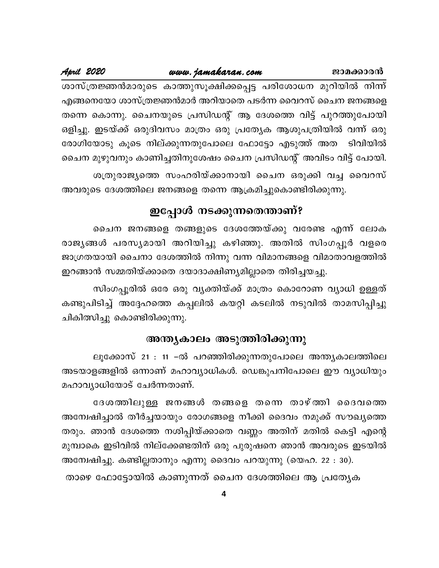### ജാമക്കാരൻ

## www.jamakaran.com

April 2020

ശാസ്ത്രജ്ഞൻമാരുടെ കാത്തുസൂക്ഷിക്കപ്പെട്ട പരിശോധന മുറിയിൽ നിന്ന് എങ്ങനെയോ ശാസ്ത്രജ്ഞൻമാർ അറിയാതെ പടർന്ന വൈറസ് ചൈന ജനങ്ങളെ തന്നെ കൊന്നു. ചൈനയുടെ പ്രസിഡന്റ് ആ ദേശത്തെ വിട്ട് പുറത്തുപോയി ഒളിച്ചു. ഇടയ്ക്ക് ഒരുദിവസം മാത്രം ഒരു പ്രത്യേക ആശുപത്രിയിൽ വന്ന് ഒരു രോഗിയോടു കൂടെ നില്ക്കുന്നതുപോലെ ഫോട്ടോ എടുത്ത് അത ടിവിയിൽ ചൈന മുഴുവനും കാണിച്ചതിനുശേഷം ചൈന പ്രസിഡന്റ് അവിടം വിട്ട് പോയി. ശത്രുരാജ്യത്തെ സംഹരിയ്ക്കാനായി ചൈന ഒരുക്കി വച്ച വൈറസ് അവരുടെ ദേശത്തിലെ ജനങ്ങളെ തന്നെ ആക്രമിച്ചുകൊണ്ടിരിക്കുന്നു.

## ഇപ്പോൾ നടക്കുന്നതെന്താണ്?

ചൈന ജനങ്ങളെ തങ്ങളുടെ ദേശത്തേയ്ക്കു വരേണ്ട എന്ന് ലോക രാജ്യങ്ങൾ പരസ്യമായി അറിയിച്ചു കഴിഞ്ഞു. അതിൽ സിംഗപ്പൂർ വളരെ ജാഗ്രതയായി ചൈനാ ദേശത്തിൽ നിന്നു വന്ന വിമാനങ്ങളെ വിമാതാവളത്തിൽ ഇറങ്ങാൻ സമ്മതിയ്ക്കാതെ ദയാദാക്ഷിണ്യമില്ലാതെ തിരിച്ചയച്ചു.

സിംഗപ്പൂരിൽ ഒരേ ഒരു വ്യക്തിയ്ക്ക് മാത്രം കൊറോണ വ്യാധി ഉള്ളത് കണ്ടുപിടിച്ച് അദ്ദേഹത്തെ കപ്പലിൽ കയറ്റി കടലിൽ നടുവിൽ താമസിപ്പിച്ചു ചികിത്സിച്ചു കൊണ്ടിരിക്കുന്നു.

### അന്ത്യകാലം അടുത്തിരിക്കുന്നു

ലൂക്കോസ് 21 : 11 –ൽ പറഞ്ഞിരിക്കുന്നതുപോലെ അന്ത്യകാലത്തിലെ അടയാളങ്ങളിൽ ഒന്നാണ് മഹാവ്യാധികൾ. ഡെങ്കുപനിപോലെ ഈ വ്യാധിയും മഹാവ്യാധിയോട് ചേർന്നതാണ്.

ദേശത്തിലുള്ള ജനങ്ങൾ തങ്ങളെ തന്നെ താഴ്ത്തി ദൈവത്തെ അമ്പേഷിച്ചാൽ തീർച്ചയായും രോഗങ്ങളെ നീക്കി ദൈവം നമുക്ക് സൗഖ്യത്തെ തരും. ഞാൻ ദേശത്തെ നശിപ്പിയ്ക്കാതെ വണ്ണം അതിന് മതിൽ കെട്ടി എന്റെ മുമ്പാകെ ഇടിവിൽ നില്ക്കേണ്ടതിന് ഒരു പുരുഷനെ ഞാൻ അവരുടെ ഇടയിൽ അമ്പേഷിച്ചു. കണ്ടില്ലതാനും എന്നു ദൈവം പറയുന്നു (യെഹ. 22 : 30). താഴെ ഫോട്ടോയിൽ കാണുന്നത് ചൈന ദേശത്തിലെ ആ പ്രത്യേക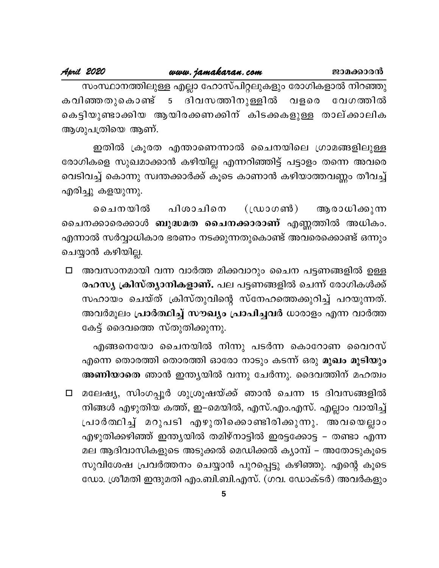സംസ്ഥാനത്തിലുള്ള എല്ലാ ഹോസ്പിറ്റലുകളും രോഗികളാൽ നിറഞ്ഞു 5 ദിവസത്തിനുള്ളിൽ വളരെ ക വിഞ്ഞ തുകൊണ്ട് വേഗത്തിൽ കെട്ടിയുണ്ടാക്കിയ ആയിരക്കണക്കിന് കിടക്കകളുള്ള താല്ക്കാലിക ആശുപത്രിയെ ആണ്.

ഇതിൽ ക്രൂരത എന്താണെന്നാൽ ചൈനയിലെ ഗ്രാമങ്ങളിലുള്ള രോഗികളെ സുഖമാക്കാൻ കഴിയില്ല എന്നറിഞ്ഞിട്ട് പട്ടാളം തന്നെ അവരെ വെടിവച്ച് കൊന്നു സ്വന്തക്കാർക്ക് കൂടെ കാണാൻ കഴിയാത്തവണ്ണം തീവച്ച് എരിച്ചു കളയുന്നു.

(ഡ്രാഗൺ) ആരാധിക്കുന്ന ചൈനയിൽ പിശാചിനെ ചൈനക്കാരെക്കാൾ ബുദ്ധമത ചൈനക്കാരാണ് എണ്ണത്തിൽ അധികം. എന്നാൽ സർവ്വാധികാര ഭരണം നടക്കുന്നതുകൊണ്ട് അവരെക്കൊണ്ട് ഒന്നും ചെയ്യാൻ കഴിയില്ല.

□ അവസാനമായി വന്ന വാർത്ത മിക്കവാറും ചൈന പട്ടണങ്ങളിൽ ഉള്ള രഹസ്യ ക്രിസ്ത്യാനികളാണ്. പല പട്ടണങ്ങളിൽ ചെന്ന് രോഗികൾക്ക് സഹായം ചെയ്ത് ക്രിസ്തുവിന്റെ സ്നേഹത്തെക്കുറിച്ച് പറയുന്നത്. അവർമൂലം പ്രാർത്ഥിച്ച് സൗഖ്യം പ്രാപിച്ചവർ ധാരാളം എന്ന വാർത്ത കേട്ട് ദൈവത്തെ സ്തുതിക്കുന്നു.

എങ്ങനെയോ ചൈനയിൽ നിന്നു പടർന്ന കൊറോണ വൈറസ് എന്നെ തൊരത്തി തൊരത്തി ഓരോ നാടും കടന്ന് ഒരു <mark>മുഖം മൂടിയും</mark> അണിയാതെ ഞാൻ ഇന്ത്യയിൽ വന്നു ചേർന്നു. ദൈവത്തിന് മഹത്വം

□ മലേഷ്യ, സിംഗപ്പൂർ ശുശ്രൂഷയ്ക്ക് ഞാൻ ചെന്ന 15 ദിവസങ്ങളിൽ നിങ്ങൾ എഴുതിയ കത്ത്, ഇ–മെയിൽ, എസ്.എം.എസ്. എല്ലാം വായിച്ച് പ്രാർത്ഥിച്ച് മറുപടി എഴുതിക്കൊണ്ടിരിക്കുന്നു. അവയെല്ലാം എഴുതിക്കഴിഞ്ഞ് ഇന്ത്യയിൽ തമിഴ്നാട്ടിൽ ഇരട്ടക്കോട്ട – തണ്ടാ എന്ന മല ആദിവാസികളുടെ അടുക്കൽ മെഡിക്കൽ കൃാമ്പ് – അതോടുകൂടെ സുവിശേഷ പ്രവർത്തനം ചെയ്യാൻ പുറപ്പെട്ടു കഴിഞ്ഞു. എന്റെ കൂടെ ഡോ. ശ്രീമതി ഇന്ദുമതി എം.ബി.ബി.എസ്. (ഗവ. ഡോക്ടർ) അവർകളും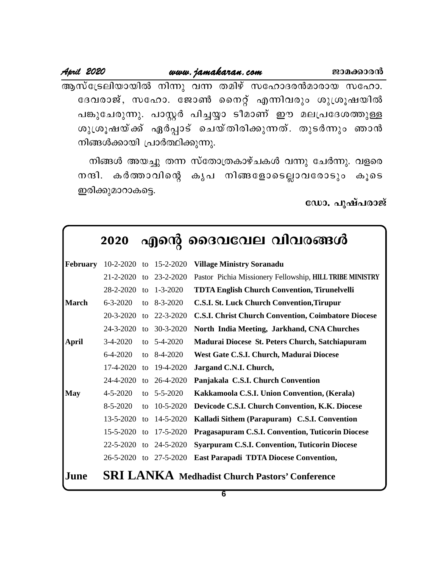ആസ്ട്രേലിയായിൽ നിന്നു വന്ന തമിഴ് സഹോദരൻമാരായ സഹോ.<br>ദേവരാജ്, സഹോ. ജോൺ നൈറ്റ് എന്നിവരും ശുശ്രൂഷയിൽ<br>പങ്കുചേരുന്നു. പാസ്റ്റർ പിച്ചയ്യാ ടീമാണ് ഈ മലപ്രദേശത്തുള്ള u 2020<br>സ്ട്രേലിയായിൽ നിന്നു വന്ന തമിഴ് സഹോദരൻമാരായ സഹോ.<br>ദേവരാജ്, സഹോ. ജോൺ നൈറ്റ് എന്നിവരും ശുശ്രൂഷയിൽ<br>പങ്കുചേരുന്നു. പാസ്റ്റർ പിച്ചയ്യാ ടീമാണ് ഈ മലപ്രദേശത്തുള്ള<br>ശുശ്രൂഷയ്ക്ക് ഏർപ്പാട് ചെയ്തിരിക്കുന്നത്. തുടർന്നും ഞാൻ ]¦ptNcp¶p. ]mÌÀ ]n¨¿m SoamW v Cu ae{]tZi¯pÅ ip{iqjb v¡ v GÀ¸mS v sNb vXncn¡p¶X v. XpSÀ¶pw Rm³ നിങ്ങൾക്കായി പ്രാർത്ഥിക്കുന്നു.

നിങ്ങൾ അയച്ചു തന്ന സ്തോത്രകാഴ്ചകൾ വന്നു ചേർന്നു. വളരെ പകുംചരുന്നു. പാറ്റ്റ്റര് പ്പച്ചയ്യാ ടിമാണ് ഈ മലപ്രദോശത്<u>റുള്ള</u><br>ശുശ്രൂഷയ്ക്ക് ഏർപ്പാട് ചെയ്തിരിക്കുന്നത്. തുടർന്നും ഞാൻ<br>നിങ്ങൾക്കായി പ്രാർത്ഥിക്കുന്നു.<br>നങി. കർത്താവിന്റെ കൃപ നിങ്ങളോടെല്ലാവരോടും കൂടെ<br>ഇരിക്കുമാറാകട്ടെ.<br>ഇരിക് ഇരിക്കുമാറാകട്ടെ.

**e**wo. പുഷ്പരാജ്

|              | 2020                  |    |                        | എന്റെ ദൈവവേല വിവരങ്ങൾ                                         |
|--------------|-----------------------|----|------------------------|---------------------------------------------------------------|
| February     |                       |    | 10-2-2020 to 15-2-2020 | <b>Village Ministry Soranadu</b>                              |
|              |                       |    | 21-2-2020 to 23-2-2020 | Pastor Pichia Missionery Fellowship, HILL TRIBE MINISTRY      |
|              | 28-2-2020 to 1-3-2020 |    |                        | <b>TDTA English Church Convention, Tirunelvelli</b>           |
| <b>March</b> | $6 - 3 - 2020$        |    | to $8-3-2020$          | C.S.I. St. Luck Church Convention, Tirupur                    |
|              |                       |    | 20-3-2020 to 22-3-2020 | <b>C.S.I. Christ Church Convention, Coimbatore Diocese</b>    |
|              |                       |    | 24-3-2020 to 30-3-2020 | North India Meeting, Jarkhand, CNA Churches                   |
| <b>April</b> | $3-4-2020$            |    | to $5-4-2020$          | Madurai Diocese St. Peters Church, Satchiapuram               |
|              | $6 - 4 - 2020$        |    | to $8-4-2020$          | West Gate C.S.I. Church, Madurai Diocese                      |
|              | 17-4-2020             |    | to 19-4-2020           | Jargand C.N.I. Church,                                        |
|              |                       |    | 24-4-2020 to 26-4-2020 | Panjakala C.S.I. Church Convention                            |
| <b>May</b>   | $4 - 5 - 2020$        |    | to $5-5-2020$          | Kakkamoola C.S.I. Union Convention, (Kerala)                  |
|              | $8 - 5 - 2020$        | to | 10-5-2020              | Devicode C.S.I. Church Convention, K.K. Diocese               |
|              | 13-5-2020 to          |    | 14-5-2020              | Kalladi Sithem (Parapuram) C.S.I. Convention                  |
|              |                       |    | 15-5-2020 to 17-5-2020 | <b>Pragasapuram C.S.I. Convention, Tuticorin Diocese</b>      |
|              |                       |    | 22-5-2020 to 24-5-2020 | <b>Syarpuram C.S.I. Convention, Tuticorin Diocese</b>         |
|              |                       |    |                        | 26-5-2020 to 27-5-2020 East Parapadi TDTA Diocese Convention, |
| June         |                       |    |                        | <b>SRI LANKA</b> Medhadist Church Pastors' Conference         |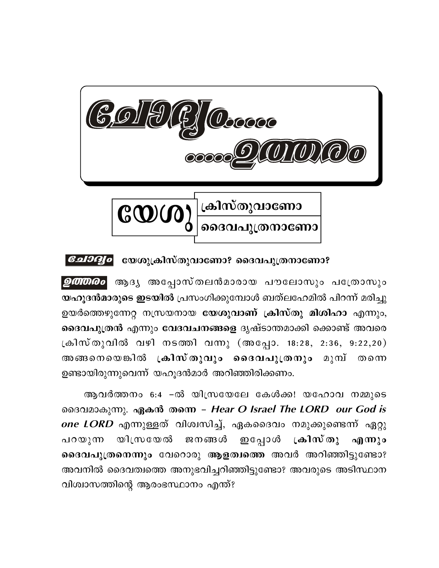

**Gol9Qo** യേശുക്രിസ്തുവാണോ? ദൈവപുത്രനാണോ?

*ഉത്തരം* ആദ്യ അപ്പോസ്തലൻമാരായ പൗലോസും പത്രോസും യഹുദൻമാരുടെ ഇടയിൽ പ്രസംഗിക്കുമ്പോൾ ബത്ലഹേമിൽ പിറന്ന് മരിച്ചു ഉയർത്തെഴുന്നേറ്റ നസ്രയനായ **യേശുവാണ് ക്രിസ്തു മിശിഹാ** എന്നും, ദൈവപുത്രൻ എന്നും വേദവചനങ്ങളെ ദൃഷ്ടാന്തമാക്കി ക്കൊണ്ട് അവരെ ക്രിസ്തുവിൽ വഴി നടത്തി വന്നു (അപ്പോ. 18:28, 2:36, 9:22,20) അങ്ങനെയെങ്കിൽ ക്രിസ്തുവും ദൈവപുത്രനും മുമ്പ് തന്നെ ഉണ്ടായിരുന്നുവെന്ന് യഹുദൻമാർ അറിഞ്ഞിരിക്കണം.

ആവർത്തനം 6:4 –ൽ യിസ്രയേലേ കേൾക്ക! യഹോവ നമ്മുടെ ദൈവമാകുന്നു. ഏകൻ തന്നെ – Hear O Israel The LORD our God is *one LORD* എന്നുള്ളത് വിശ്വസിച്ച്, ഏകദൈവം നമുക്കുണ്ടെന്ന് ഏറ്റു ഇപ്പോൾ ക്രിസ്തു യിസ്രയേൽ ജനങ്ങൾ പറയുന്ന  $\alpha$ ദൈവപുത്രനെന്നും വേറൊരു ആളത്വത്തെ അവർ അറിഞ്ഞിട്ടുണ്ടോ? അവനിൽ ദൈവത്വത്തെ അനുഭവിച്ചറിഞ്ഞിട്ടുണ്ടോ? അവരുടെ അടിസ്ഥാന വിശ്വാസത്തിന്റെ ആരംഭസ്ഥാനം എന്ത്?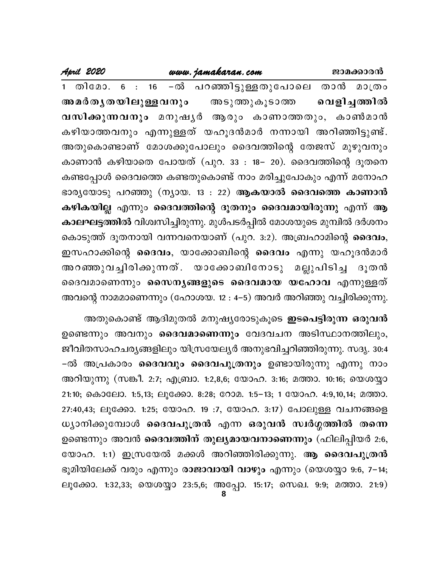#### ജാമക്കാരൻ

## www.jamakaran.com

April 2020

-ൽ പറഞ്ഞിട്ടുള്ളതുപോലെ താൻ തിമോ. 6 : 16 മാത്രം അമർതൃതയിലുള്ളവനും അടുത്തുകൂടാത്ത വെളിച്ചത്തിൽ വസിക്കുന്നവനും മനുഷൃർ ആരും കാണാത്തതും, കാൺമാൻ കഴിയാത്തവനും എന്നുള്ളത് യഹൂദൻമാർ നന്നായി അറിഞ്ഞിട്ടുണ്ട്. അതുകൊണ്ടാണ് മോശക്കുപോലും ദൈവത്തിന്റെ തേജസ് മുഴുവനും കാണാൻ കഴിയാതെ പോയത് (പുറ. 33 : 18– 20). ദൈവത്തിന്റെ ദൂതനെ കണ്ടപ്പോൾ ദൈവത്തെ കണ്ടതുകൊണ്ട് നാം മരിച്ചുപോകും എന്ന് മനോഹ ഭാര്യയോടു പറഞ്ഞു (ന്യായ. 13 : 22) ആകയാൽ ദൈവത്തെ കാണാൻ കഴികയില്ല എന്നും ദൈവത്തിന്റെ ദൂതനും ദൈവമായിരുന്നു എന്ന് ആ കാലഘട്ടത്തിൽ വിശ്വസിച്ചിരുന്നു. മുൾപടർപ്പിൽ മോശയുടെ മുമ്പിൽ ദർശനം കൊടുത്ത് ദൂതനായി വന്നവനെയാണ് (പുറ. 3:2). അബ്രഹാമിന്റെ ദൈവം, ഇസഹാക്കിന്റെ ദൈവം, യാക്കോബിന്റെ ദൈവം എന്നു യഹൂദൻമാർ അറഞ്ഞുവച്ചിരിക്കുന്നത്. യാക്കോബിനോടു മല്ലുപിടിച്ച ദൂതൻ ദൈവമാണെന്നും സൈനൃങ്ങളുടെ ദൈവമായ യഹോവ എന്നുള്ളത് അവന്റെ നാമമാണെന്നും (ഹോശയ. 12 : 4–5) അവർ അറിഞ്ഞു വച്ചിരിക്കുന്നു.

അതുകൊണ്ട് ആദിമുതൽ മനുഷ്യരോടുകൂടെ ഇടപെട്ടിരുന്ന ഒരുവൻ ഉണ്ടെന്നും അവനും **ദൈവമാണെന്നും** വേദവചന അടിസ്ഥാനത്തിലും, ജീവിതസാഹചര്യങ്ങളിലും യിസ്രയേല്യർ അനുഭവിച്ചറിഞ്ഞിരുന്നു. സദൃ. 30:4 –ൽ അപ്രകാരം **ദൈവവും ദൈവപുത്രനും** ഉണ്ടായിരുന്നു എന്നു നാം അറിയുന്നു (സങ്കീ. 2:7; എബ്രാ. 1:2,8,6; യോഹ. 3:16; മത്താ. 10:16; യെശയ്യാ 21:10; കൊലോ. 1:5,13; ലൂക്കോ. 8:28; റോമ. 1:5-13; 1 യോഹ. 4:9,10,14; മത്താ. 27:40,43; ലൂക്കോ. 1:25; യോഹ. 19 :7, യോഹ. 3:17) പോലുള്ള വചനങ്ങളെ ധ്യാനിക്കുമ്പോൾ ദൈവപുത്രൻ എന്ന ഒരുവൻ സ്വർഗ്ഗത്തിൽ തന്നെ ഉണ്ടെന്നും അവൻ ദൈവത്തിന് തുല്യമായവനാണെന്നും (ഫിലിപ്പിയർ 2:6, യോഹ. 1:1) ഇസ്രയേൽ മക്കൾ അറിഞ്ഞിരിക്കുന്നു. ആ ദൈവപുത്രൻ ഭൂമിയിലേക്ക് വരും എന്നും രാജാവായി വാഴും എന്നും (യെശയ്യാ 9:6, 7–14; ലൂക്കോ. 1:32,33; യെശയ്യാ 23:5,6; അപ്പോ. 15:17; സെഖ. 9:9; മത്താ. 21:9)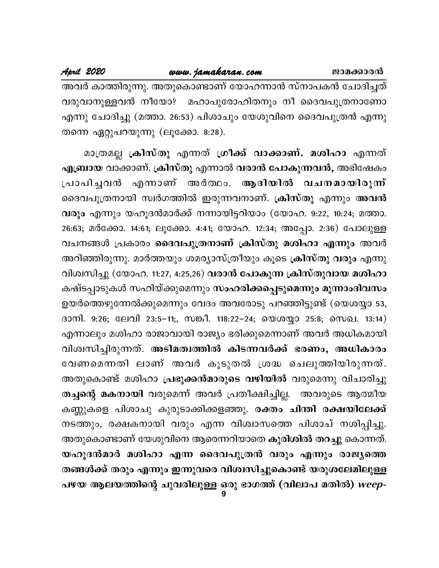April 2020

അവർ കാത്തിരുന്നു. അതുകൊണ്ടാണ് യോഹന്നാൻ സ്നാപകൻ ചോദിച്ചത് വരുവാനുള്ളവൻ നീയോ? മഹാപുരോഹിതനും നീ ദൈവപുത്രനാണോ എന്നു ചോദിച്ചു (മത്താ. 26:53) പിശാചും യേശുവിനെ ദൈവപുത്രൻ എന്നു തന്നെ ഏറ്റുപറയുന്നു (ലൂക്കോ. 8:28).

മാത്രമല്ല ക്രിസ്തു എന്നത് <mark>ഗ്രീക്ക് വാക്കാണ്. മശിഹാ</mark> എന്നത് എബ്രായ വാക്കാണ്. ക്രിസ്തു എന്നാൽ വരാൻ പോകുന്നവൻ, അഭിഷേകം പ്രാപിച്ചവൻ എന്നാണ് അർത്ഥം. ആദിയിൽ വചനമായിരുന്ന് ദൈവപുത്രനായി സ്വർഗത്തിൽ ഇരുന്നവനാണ്. ക്രിസ്തു എന്നും അവൻ വരും എന്നും യഹൂദൻമാർക്ക് നന്നായിട്ടറിയാം (യോഹ. 9:22, 10:24; മത്താ. 26:63; മർക്കോ. 14:61; ലൂക്കോ. 4:41; യോഹ. 12:34; അപ്പോ. 2:36) പോലുള്ള വചനങ്ങൾ പ്രകാരം ദൈവപുത്രനാണ് ക്രിസ്തു മശിഹാ എന്നും അവർ അറിഞ്ഞിരുന്നു. മാർത്തയും ശമര്യാസ്ത്രീയും കൂടെ ക്രിസ്തു വരും എന്നു വിശ്വസിച്ചു (യോഹ. 11:27, 4:25,26) വരാൻ പോകുന്ന ക്രിസ്തുവായ മശിഹാ കഷ്ടപ്പാടുകൾ സഹിയ്ക്കുമെന്നും സംഹരിക്കപ്പെടുമെന്നും മൂന്നാംദിവസം ഉയർത്തെഴുന്നേൽക്കുമെന്നും വേദം അവരോടു പറഞ്ഞിട്ടുണ്ട് (യെശയ്യാ 53, ദാനി. 9:26; ലേവി 23:5-11;, സങ്കീ. 118:22-24; യെശയ്യാ 25:8; സെഖ. 13:14) എന്നാലും മശിഹാ രാജാവായി രാജ്യം ഭരിക്കുമെന്നാണ് അവർ അധികമായി വിശ്വസിച്ചിരുന്നത്. അടിമത്വത്തിൽ കിടന്നവർക്ക് ഭരണം, അധികാരം വേണമെന്നതി ലാണ് അവർ കൂടുതൽ ശ്രദ്ധ ചെലുത്തിയിരുന്നത്. അതുകൊണ്ട് മശിഹാ പ്രഭുക്കൻമാരുടെ വഴിയിൽ വരുമെന്നു വിചാരിച്ചു തച്ചന്റെ മകനായി വരുമെന്ന് അവർ പ്രതീക്ഷിച്ചില്ല. അവരുടെ ആത്മീയ കണ്ണുകളെ പിശാചു കുരുടാക്കിക്കളഞ്ഞു. <mark>രക്തം ചിന്തി രക്ഷയിലേക്ക്</mark> നടത്തും, രക്ഷകനായി വരും എന്ന വിശ്വാസത്തെ പിശാച് നശിപ്പിച്ചു. അതുകൊണ്ടാണ് യേശുവിനെ ആരെന്നറിയാതെ കുരിശിൽ തറച്ചു കൊന്നത്. യഹൂദൻമാർ മശിഹാ എന്ന ദൈവപുത്രൻ വരും എന്നും രാജ്യത്തെ തങ്ങൾക്ക് തരും എന്നും ഇന്നുവരെ വിശ്വസിച്ചുകൊണ്ട് യരുശലേമിലുള്ള പഴയ ആലയത്തിന്റെ ചുവരിലുള്ള ഒരു ഭാഗത്ത് (വിലാപ മതിൽ) weep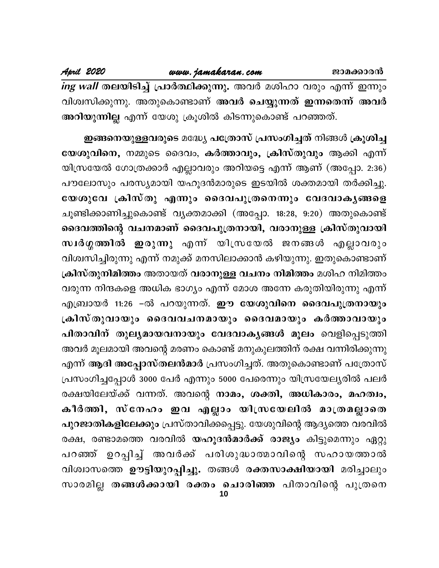ing wall തലയിടിച്ച് പ്രാർത്ഥിക്കുന്നു. അവർ മശിഹാ വരും എന്ന് ഇന്നും വിശ്വസിക്കുന്നു. അതുകൊണ്ടാണ് അവർ ചെയ്യുന്നത് ഇന്നതെന്ന് അവർ അറിയുന്നില്ല എന്ന് യേശു ക്രൂശിൽ കിടന്നുകൊണ്ട് പറഞ്ഞത്.

ഇങ്ങനെയുള്ളവരുടെ മദ്ധ്യേ പത്രോസ് പ്രസംഗിച്ചത് നിങ്ങൾ ക്രൂശിച്ച യേശുവിനെ, നമ്മുടെ ദൈവം, കർത്താവും, ക്രിസ്തുവും ആക്കി എന്ന് യിസ്രയേൽ ഗോത്രക്കാർ എല്ലാവരും അറിയട്ടെ എന്ന് ആണ് (അപ്പോ. 2:36) പൗലോസും പരസ്യമായി യഹൂദൻമാരുടെ ഇടയിൽ ശക്തമായി തർക്കിച്ചു. യേശുവേ ക്രിസ്തു എന്നും ദൈവപുത്രനെന്നും വേദവാകൃങ്ങളെ ചൂണ്ടിക്കാണിച്ചുകൊണ്ട് വ്യക്തമാക്കി (അപ്പോ. 18:28, 9:20) അതുകൊണ്ട് ദൈവത്തിന്റെ വചനമാണ് ദൈവപുത്രനായി, വരാനുള്ള ക്രിസ്തുവായി സ്വർഗ്ഗത്തിൽ ഇരുന്നു എന്ന് യിസ്രയേൽ ജനങ്ങൾ എല്ലാവരും വിശ്വസിച്ചിരുന്നു എന്ന് നമുക്ക് മനസിലാക്കാൻ കഴിയുന്നു. ഇതുകൊണ്ടാണ് ക്രിസ്തുനിമിത്തം അതായത് വരാനുള്ള വചനം നിമിത്തം മശിഹ നിമിത്തം വരുന്ന നിന്ദകളെ അധിക ഭാഗ്യം എന്ന് മോശ അന്നേ കരുതിയിരുന്നു എന്ന് എബ്രായർ 11:26 –ൽ പറയുന്നത്. ഈ യേശുവിനെ ദൈവപുത്രനായും ക്രിസ്തുവായും ദൈവവചനമായും ദൈവമായും കർത്താവായും പിതാവിന് തുല്യമായവനായും വേദവാകൃങ്ങൾ മൂലം വെളിപ്പെടുത്തി അവർ മൂലമായി അവന്റെ മരണം കൊണ്ട് മനുകുലത്തിന് രക്ഷ വന്നിരിക്കുന്നു എന്ന് <mark>ആദി അപ്പോസ്തലൻമാ</mark>ർ പ്രസംഗിച്ചത്. അതുകൊണ്ടാണ് പത്രോസ് പ്രസംഗിച്ചപ്പോൾ 3000 പേർ എന്നും 5000 പേരെന്നും യിസ്രയേല്യരിൽ പലർ രക്ഷയിലേയ്ക്ക് വന്നത്. അവന്റെ നാമം, ശക്തി, അധികാരം, മഹത്വം, കീർത്തി, സ്നേഹം ഇവ എല്ലാം യിസ്രയേലിൽ മാത്രമല്ലാതെ പുറജാതികളിലേക്കും പ്രസ്താവിക്കപ്പെട്ടു. യേശുവിന്റെ ആദ്യത്തെ വരവിൽ രക്ഷ, രണ്ടാമത്തെ വരവിൽ യഹൂദൻമാർക്ക് രാജ്യം കിട്ടുമെന്നും ഏറ്റു പറഞ്ഞ് ഉറപ്പിച്ച് അവർക്ക് പരിശുദ്ധാത്മാവിന്റെ സഹായത്താൽ വിശ്വാസത്തെ ഊട്ടിയുറപ്പിച്ചു. തങ്ങൾ രക്തസാക്ഷിയായി മരിച്ചാലും സാരമില്ല തങ്ങൾക്കായി രക്തം ചൊരിഞ്ഞ പിതാവിന്റെ പുത്രനെ<br>10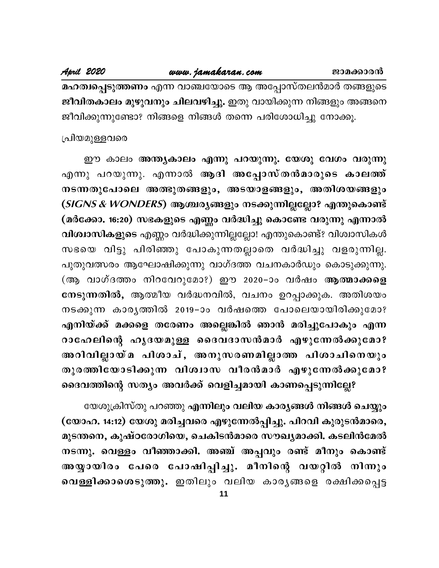മഹത്വപ്പെടുത്തണം എന്ന വാഞ്ചയോടെ ആ അപ്പോസ്തലൻമാർ തങ്ങളുടെ ജീവിതകാലം മുഴുവനും ചിലവഴിച്ചു. ഇതു വായിക്കുന്ന നിങ്ങളും അങ്ങനെ ജീവിക്കുന്നുണ്ടോ? നിങ്ങളെ നിങ്ങൾ തന്നെ പരിശോധിച്ചു നോക്കൂ.

### പ്രിയമുള്ളവരെ

ഈ കാലം അന്ത്യകാലം എന്നു പറയുന്നു. യേശു വേഗം വരുന്നു എന്നു പറയുന്നു. എന്നാൽ ആദി അപ്പോസ്തൻമാരുടെ കാലത്ത് നടന്നതുപോലെ അത്ഭുതങ്ങളും, അടയാളങ്ങളും, അതിശയങ്ങളും (*SIGNS & WONDERS*) ആശ്ചര്യങ്ങളും നടക്കുന്നില്ലല്ലോ? എന്തുകൊണ്ട് (മർക്കോ. 16:20) സഭകളുടെ എണ്ണം വർദ്ധിച്ചു കൊണ്ടേ വരുന്നു എന്നാൽ വിശ്വാസികളുടെ എണ്ണം വർദ്ധിക്കുന്നില്ലല്ലോ! എന്തുകൊണ്ട്? വിശ്വാസികൾ സഭയെ വിട്ടു പിരിഞ്ഞു പോകുന്നതല്ലാതെ വർദ്ധിച്ചു വളരുന്നില്ല. പുതുവത്സരം ആഘോഷിക്കുന്നു വാഗ്ദത്ത വചനകാർഡും കൊടുക്കുന്നു. (ആ വാഗ്ദത്തം നിറവേറുമോ?) ഈ 2020–ാം വർഷം ആത്മാക്കളെ നേടുന്നതിൽ, ആത്മീയ വർദ്ധനവിൽ, വചനം ഉറപ്പാക്കുക. അതിശയം നടക്കുന്ന കാരൃത്തിൽ 2019–ാം വർഷത്തെ പോലെയായിരിക്കുമോ? എനിയ്ക്ക് മക്കളെ തരേണം അല്ലെങ്കിൽ ഞാൻ മരിച്ചുപോകും എന്ന റാഹേലിന്റെ ഹൃദയമുള്ള ദൈവദാസൻമാർ എഴുന്നേൽക്കുമോ? അറിവില്ലായ്മ പിശാച്, അനുസരണമില്ലാത്ത പിശാചിനെയും തുരത്തിയോടിക്കുന്ന വിശ്വാസ വീരൻമാർ എഴുന്നേൽക്കുമോ? ദൈവത്തിന്റെ സത്യം അവർക്ക് വെളിച്ചമായി കാണപ്പെടുന്നില്ലേ?

യേശുക്രിസ്തു പറഞ്ഞു എന്നിലും വലിയ കാര്യങ്ങൾ നിങ്ങൾ ചെയ്യും (യോഹ. 14:12) യേശു മരിച്ചവരെ എഴുന്നേൽപ്പിച്ചു. പിറവി കുരുടൻമാരെ, മുടന്തനെ, കുഷ്ഠരോഗിയെ, ചെകിടൻമാരെ സൗഖ്യമാക്കി. കടലിൻമേൽ നടന്നു. വെള്ളം വീഞ്ഞാക്കി. അഞ്ച് അപ്പവും രണ്ട് മീനും കൊണ്ട് അയ്യായിരം പേരെ പോഷിപ്പിച്ചു. മീനിന്റെ വയറ്റിൽ നിന്നും വെള്ളിക്കാശെടുത്തു. ഇതിലും വലിയ കാരൃങ്ങളെ രക്ഷിക്കപ്പെട്ട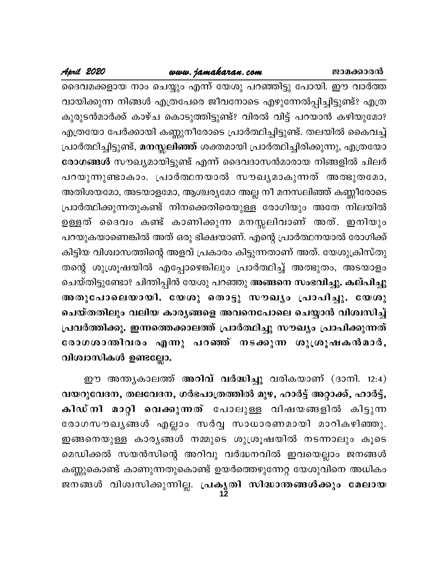ദൈവമക്കളായ നാം ചെയ്യും എന്ന് യേശു പറഞ്ഞിട്ടു പോയി. ഈ വാർത്ത വായിക്കുന്ന നിങ്ങൾ എത്രപേരെ ജീവനോടെ എഴുന്നേൽപ്പിച്ചിട്ടുണ്ട്? എത്ര കുരുടൻമാർക്ക് കാഴ്ച കൊടുത്തിട്ടുണ്ട്? വിരൽ വിട്ട് പറയാൻ കഴിയുമോ? എത്രയോ പേർക്കായി കണ്ണുനീരോടെ പ്രാർത്ഥിച്ചിട്ടുണ്ട്. തലയിൽ കൈവച്ച് പ്രാർത്ഥിച്ചിട്ടുണ്ട്, മനസ്സലിഞ്ഞ് ശക്തമായി പ്രാർത്ഥിച്ചിരിക്കുന്നു, എത്രയോ രോഗങ്ങൾ സൗഖ്യമായിട്ടുണ്ട് എന്ന് ദൈവദാസൻമാരായ നിങ്ങളിൽ ചിലർ പറയുന്നുണ്ടാകാം. പ്രാർത്ഥനയാൽ സൗഖ്യമാകുന്നത് അത്ഭുതമോ, അതിശയമോ, അടയാളമോ, ആശ്ചര്യമോ അല്ല നീ മനസലിഞ്ഞ് കണ്ണീരോടെ പ്രാർത്ഥിക്കുന്നതുകണ്ട് നിനക്കെതിരെയുള്ള രോഗിയും അതേ നിലയിൽ ഉള്ളത് ദൈവം കണ്ട് കാണിക്കുന്ന മനസ്സലിവാണ് അത്. ഇനിയും പറയുകയാണെങ്കിൽ അത് ഒരു ഭിക്ഷയാണ്. എന്റെ പ്രാർത്ഥനയാൽ രോഗിക്ക് കിട്ടിയ വിശ്വാസത്തിന്റെ അളവ് പ്രകാരം കിട്ടുന്നതാണ് അത്. യേശുക്രിസ്തു തന്റെ ശുശ്രൂഷയിൽ എപ്പോഴെങ്കിലും പ്രാർത്ഥിച്ച് അത്ഭുതം, അടയാളം ചെയ്തിട്ടുണ്ടോ? ചിന്തിപ്പിൻ യേശു പറഞ്ഞു അങ്ങനെ സംഭവിച്ചു. കല്പിച്ചു അതുപോലെയായി. യേശു തൊട്ടു സൗഖ്യം പ്രാപിച്ചു. യേശു ചെയ്തതിലും വലിയ കാര്യങ്ങളെ അവനെപോലെ ചെയ്യാൻ വിശ്വസിച്ച് പ്രവർത്തിക്കൂ. ഇന്നത്തെക്കാലത്ത് പ്രാർത്ഥിച്ചു സൗഖ്യം പ്രാപിക്കുന്നത് രോഗശാന്തിവരം എന്നു പറഞ്ഞ് നടക്കുന്ന ശുശ്രൂഷകൻമാർ, വിശ്വാസികൾ ഉണ്ടല്ലോ.

ഈ അന്തൃകാലത്ത് **അറിവ് വർദ്ധിച്ചു** വരികയാണ് (ദാനി. 12:4) വയറുവേദന, തലവേദന, ഗർഭപാത്രത്തിൽ മുഴ, ഹാർട്ട് അറ്റാക്ക്, ഹാർട്ട്, കിഡ്നി മാറ്റി വെക്കുന്നത് പോലുള്ള വിഷയങ്ങളിൽ കിട്ടുന്ന രോഗസൗഖ്യങ്ങൾ എല്ലാം സർവ്വ സാധാരണമായി മാറികഴിഞ്ഞു. ഇങ്ങനെയുള്ള കാര്യങ്ങൾ നമ്മുടെ ശുശ്രൂഷയിൽ നടന്നാലും കൂടെ മെഡിക്കൽ സയൻസിന്റെ അറിവു വർദ്ധനവിൽ ഇവയെല്ലാം ജനങ്ങൾ കണ്ണുകൊണ്ട് കാണുന്നതുകൊണ്ട് ഉയർത്തെഴുന്നേറ്റ യേശുവിനെ അധികം ജനങ്ങൾ വിശ്വസിക്കുന്നില്ല. പ്രകൃതി സിദ്ധാന്തങ്ങൾക്കും മേലായ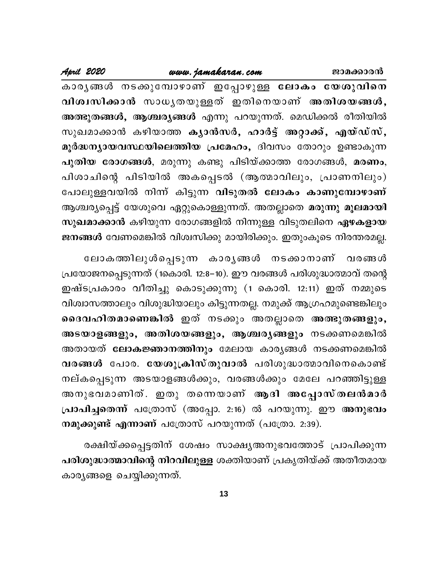ജാമക്കാരൻ

# www.jamakaran.com

April 2020

കാരൃങ്ങൾ നടക്കുമ്പോഴാണ് ഇപ്പോഴുള്ള ലോകം യേശുവിനെ വിശ്വസിക്കാൻ സാധൃതയുള്ളത് ഇതിനെയാണ് അതിശയങ്ങൾ, അത്ഭുതങ്ങൾ, ആശ്ചര്യങ്ങൾ എന്നു പറയുന്നത്. മെഡിക്കൽ രീതിയിൽ സുഖമാക്കാൻ കഴിയാത്ത കൃാൻസർ, ഹാർട്ട് അറ്റാക്ക്, എയ്ഡ്സ്, മൂർദ്ധന്യായവസ്ഥയിലെത്തിയ പ്രമേഹം, ദിവസം തോറും ഉണ്ടാകുന്ന പുതിയ രോഗങ്ങൾ, മരുന്നു കണ്ടു പിടിയ്ക്കാത്ത രോഗങ്ങൾ, മരണം, പിശാചിന്റെ പിടിയിൽ അകപ്പെടൽ (ആത്മാവിലും, പ്രാണനിലും) പോലുള്ളവയിൽ നിന്ന് കിട്ടുന്ന വിടുതൽ ലോകം കാണുമ്പോഴാണ് ആശ്ചര്യപ്പെട്ട് യേശുവെ ഏറ്റുകൊള്ളുന്നത്. അതല്ലാതെ മരുന്നു മൂലമായി സുഖമാക്കാൻ കഴിയുന്ന രോഗങ്ങളിൽ നിന്നുള്ള വിടുതലിനെ ഏഴകളായ ജനങ്ങൾ വേണമെങ്കിൽ വിശ്വസിക്കു മായിരിക്കും. ഇതുംകൂടെ നിരന്തരമല്ല.

ലോകത്തിലുൾപ്പെടുന്ന കാരൃങ്ങൾ നടക്കാനാണ് വരങ്ങൾ പ്രയോജനപ്പെടുന്നത് (1കൊരി. 12:8–10). ഈ വരങ്ങൾ പരിശുദ്ധാത്മാവ് തന്റെ ഇഷ്ടപ്രകാരം വീതിച്ചു കൊടുക്കുന്നു (1 കൊരി. 12:11) ഇത് നമ്മുടെ വിശ്വാസത്താലും വിശുദ്ധിയാലും കിട്ടുന്നതല്ല. നമുക്ക് ആഗ്രഹമുണ്ടെങ്കിലും ദൈവഹിതമാണെങ്കിൽ ഇത് നടക്കും അതല്ലാതെ അത്ഭുതങ്ങളും, അടയാളങ്ങളും, അതിശയങ്ങളും, ആശ്ചരൃങ്ങളും നടക്കണമെങ്കിൽ അതായത് <mark>ലോകജ്ഞാനത്തിനും</mark> മേലായ കാര്യങ്ങൾ നടക്കണമെങ്കിൽ വരങ്ങൾ പോര. യേശുക്രിസ്തുവാൽ പരിശുദ്ധാത്മാവിനെകൊണ്ട് നല്കപ്പെടുന്ന അടയാളങ്ങൾക്കും, വരങ്ങൾക്കും മേലേ പറഞ്ഞിട്ടുള്ള അനുഭവമാണിത്. ഇതു തന്നെയാണ് ആദി അപ്പോസ്തലൻമാർ പ്രാപിച്ചതെന്ന് പത്രോസ് (അപ്പോ. 2:16) ൽ പറയുന്നു. ഈ അനുഭവം നമുക്കുണ്ട് എന്നാണ് പത്രോസ് പറയുന്നത് (പത്രോ. 2:39).

രക്ഷിയ്ക്കപ്പെട്ടതിന് ശേഷം സാക്ഷ്യഅനുഭവത്തോട് പ്രാപിക്കുന്ന പരിശുദ്ധാത്മാവിന്റെ നിറവിലുള്ള ശക്തിയാണ് പ്രകൃതിയ്ക്ക് അതീതമായ കാര്യങ്ങളെ ചെയ്യിക്കുന്നത്.

13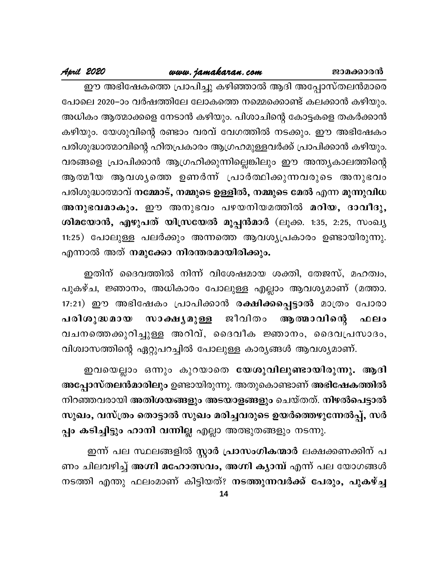ജാമക്കാരൻ

### April 2020

ഈ അഭിഷേകത്തെ പ്രാപിച്ചു കഴിഞ്ഞാൽ ആദി അപ്പോസ്തലൻമാരെ പോലെ 2020–ാം വർഷത്തിലേ ലോകത്തെ നമ്മെക്കൊണ്ട് കലക്കാൻ കഴിയും. അധികം ആത്മാക്കളെ നേടാൻ കഴിയും. പിശാചിന്റെ കോട്ടകളെ തകർക്കാൻ കഴിയും. യേശുവിന്റെ രണ്ടാം വരവ് വേഗത്തിൽ നടക്കും. ഈ അഭിഷേകം പരിശുദ്ധാത്മാവിന്റെ ഹിതപ്രകാരം ആഗ്രഹമുള്ളവർക്ക് പ്രാപിക്കാൻ കഴിയും. വരങ്ങളെ പ്രാപിക്കാൻ ആഗ്രഹിക്കുന്നില്ലെങ്കിലും ഈ അന്ത്യകാലത്തിന്റെ ആത്മീയ ആവശൃത്തെ ഉണർന്ന് പ്രാർത്ഥിക്കുന്നവരുടെ അനുഭവം പരിശുദ്ധാത്മാവ് നമ്മോട്, നമ്മുടെ ഉള്ളിൽ, നമ്മുടെ മേൽ എന്ന മൂന്നുവിധ അനുഭവമാകും. ഈ അനുഭവം പഴയനിയമത്തിൽ മറിയ, ദാവീദു, ശിമയോൻ, എഴുപത് യിസ്രയേൽ മൂപ്പൻമാർ (ലൂക്ക. 1:35, 2:25, സംഖ്യ 11:25) പോലുള്ള പലർക്കും അന്നത്തെ ആവശ്യപ്രകാരം ഉണ്ടായിരുന്നു. എന്നാൽ അത് നമുക്കോ നിരന്തരമായിരിക്കും.

ഇതിന് ദൈവത്തിൽ നിന്ന് വിശേഷമായ ശക്തി, തേജസ്, മഹത്വം, പുകഴ്ച, ജ്ഞാനം, അധികാരം പോലുള്ള എല്ലാം ആവശ്യമാണ് (മത്താ. 17:21) ഈ അഭിഷേകം പ്രാപിക്കാൻ രക്ഷിക്കപ്പെട്ടാൽ മാത്രം പോരാ പരിശുദ്ധമായ ജീവിതം സാക്ഷൃമുള<u>്</u>ള ആത്മാവിന്റെ ഫലം വചനത്തെക്കുറിച്ചുള്ള അറിവ്, ദൈവീക ജ്ഞാനം, ദൈവപ്രസാദം, വിശ്വാസത്തിന്റെ ഏറ്റുപറച്ചിൽ പോലുള്ള കാര്യങ്ങൾ ആവശ്യമാണ്.

ഇവയെല്ലാം ഒന്നും കുറയാതെ യേശുവിലുണ്ടായിരുന്നു. ആദി അപ്പോസ്തലൻമാരിലും ഉണ്ടായിരുന്നു. അതുകൊണ്ടാണ് അഭിഷേകത്തിൽ നിറഞ്ഞവരായി അതിശയങ്ങളും അടയാളങ്ങളും ചെയ്തത്. നിഴൽപെട്ടാൽ സുഖം, വസ്ത്രം തൊട്ടാൽ സുഖം മരിച്ചവരുടെ ഉയർത്തെഴുന്നേൽപ്പ്, സർ പ്പം കടിച്ചിട്ടും ഹാനി വന്നില്ല എല്ലാ അത്ഭുതങ്ങളും നടന്നു.

ഇന്ന് പല സ്ഥലങ്ങളിൽ സ്റ്റാർ പ്രാസംഗികന്മാർ ലക്ഷക്കണക്കിന് പ ണം ചിലവഴിച്ച് അഗ്നി മഹോത്സവം, അഗ്നി ക്യാമ്പ് എന്ന് പല യോഗങ്ങൾ നടത്തി എന്തു ഫലംമാണ് കിട്ടിയത്? നടത്തുന്നവർക്ക് പേരും, പുകഴ്ച്ച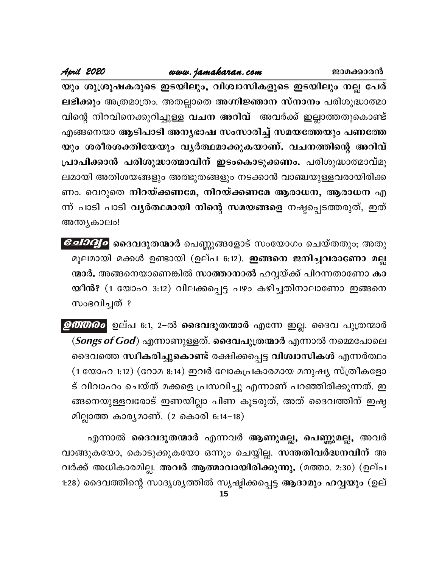April 2020

യും ശുശ്രൂഷകരുടെ ഇടയിലും, വിശ്വാസികളുടെ ഇടയിലും നല്ല പേര് ലഭിക്കും അത്രമാത്രം. അതല്ലാതെ അഗ്നിജ്ഞാന സ്നാനം പരിശുദ്ധാത്മാ വിന്റെ നിറവിനെക്കുറിച്ചുള്ള വചന അറിവ് അവർക്ക് ഇല്ലാത്തതുകൊണ്ട് എങ്ങനെയാ ആടിപാടി അനൃഭാഷ സംസാരിച്ച് സമയത്തേയും പണത്തേ യും ശരീരശക്തിയേയും വൃർത്ഥമാക്കുകയാണ്. വചനത്തിന്റെ അറിവ് പ്രാപിക്കാൻ പരിശുദ്ധാത്മാവിന് ഇടംകൊടുക്കണം. പരിശുദ്ധാത്മാവ്മൂ ലമായി അതിശയങ്ങളും അത്ഭുതങ്ങളും നടക്കാൻ വാഞ്ചയുള്ളവരായിരിക്ക ണം. വെറുതെ നിറയ്ക്കണമേ, നിറയ്ക്കണമേ ആരാധന, ആരാധന എ ന്ന് പാടി പാടി വൃർത്ഥമായി നിന്റെ സമയങ്ങളെ നഷ്ടപ്പെടത്തരുത്, ഇത് അന്ത്യകാലം!

- *Gചാദൃo* ദൈവദൂതന്മാർ പെണ്ണുങ്ങളോട് സംയോഗം ചെയ്തതും; അതു മൂലമായി മക്കൾ ഉണ്ടായി (ഉല്പ 6:12). ഇങ്ങനെ ജനിച്ചവരാണോ മല്ല ന്മാർ. അങ്ങനെയാണെങ്കിൽ സാത്താനാൽ ഹവ്വയ്ക്ക് പിറന്നതാണോ കാ യീൻ? (1 യോഹ 3:12) വിലക്കപ്പെട്ട പഴം കഴിച്ചതിനാലാണോ ഇങ്ങനെ സംഭവിച്ചത് ?
- *ഉത്തരം* ഉല്പ 6:1, 2–ൽ ദൈവദൂതന്മാർ എന്നേ ഇല്ല. ദൈവ പുത്രന്മാർ (Songs of God) എന്നാണുള്ളത്. ദൈവപുത്രന്മാർ എന്നാൽ നമ്മെപോലെ ദൈവത്തെ സ്ഥീകരിച്ചുകൊണ്ട് രക്ഷിക്കപ്പെട്ട വിശ്വാസികൾ എന്നർത്ഥം (1 യോഹ 1:12) (റോമ 8:14) ഇവർ ലോകപ്രകാരമായ മനുഷ്യ സ്ത്രീകളോ ട് വിവാഹം ചെയ്ത് മക്കളെ പ്രസവിച്ചു എന്നാണ് പറഞ്ഞിരിക്കുന്നത്. ഇ ങ്ങനെയുള്ളവരോട് ഇണയില്ലാ പിണ കൂടരുത്, അത് ദൈവത്തിന് ഇഷ്ട മില്ലാത്ത കാര്യമാണ്. (2 കൊരി 6:14–18)

എന്നാൽ ദൈവദൂതന്മാർ എന്നവർ ആണുമല്ല, പെണ്ണുമല്ല, അവർ വാങ്ങുകയോ, കൊടുക്കുകയോ ഒന്നും ചെയ്യില്ല. <mark>സന്തതിവർദ്ധനവിന്</mark> അ വർക്ക് അധികാരമില്ല. അവർ ആത്മാവായിരിക്കുന്നു. (മത്താ. 2:30) (ഉല്പ 1:28) ദൈവത്തിന്റെ സാദൃശൃത്തിൽ സൃഷ്ടിക്കപ്പെട്ട ആദാമും ഹവ്വയും (ഉല്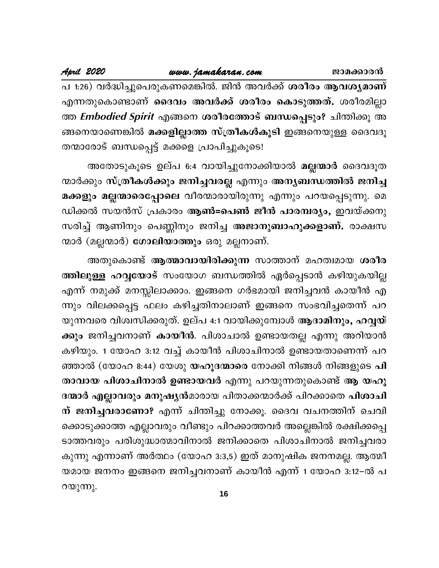പ 1:26) വർദ്ധിച്ചുപെരുകണമെങ്കിൽ. ജിൻ അവർക്ക് ശരീരം ആവശൃമാണ് എന്നതുകൊണ്ടാണ് ദൈവം അവർക്ക് ശരീരം കൊടുത്തത്. ശരീരമില്ലാ ത്ത *Embodied Spirit* എങ്ങനെ ശരീരത്തോട് ബന്ധപ്പെടും? ചിന്തിക്കൂ അ ങ്ങനെയാണെങ്കിൽ <mark>മക്കളില്ലാത്ത സ്ത്രീകൾകൂടി</mark> ഇങ്ങനെയുള്ള ദൈവദൂ തന്മാരോട് ബന്ധപ്പെട്ട് മക്കളെ പ്രാപിച്ചുകൂടെ!

അതോടുകൂടെ ഉല്പ 6:4 വായിച്ചുനോക്കിയാൽ <mark>മല്ലന്മാർ</mark> ദൈവദൂത ന്മാർക്കും സ്ത്രീകൾക്കും ജനിച്ചവരല്ല എന്നും അന്യബന്ധത്തിൽ ജനിച്ച മക്കളും മല്ലന്മാരെപ്പോലെ വീരന്മാരായിരുന്നു എന്നും പറയപ്പെടുന്നു. മെ ഡിക്കൽ സയൻസ് പ്രകാരം <mark>ആൺ=പെൺ ജീൻ പാരമ്പര്യം,</mark> ഇവയ്ക്കനു സരിച്ച് ആണിനും പെണ്ണിനും ജനിച്ച <mark>അജാനുബാഹുക്കളാണ്.</mark> രാക്ഷസ ന്മാർ (മല്ലന്മാർ) ഗോലിയാത്തും ഒരു മല്ലനാണ്.

അതുകൊണ്ട് ആത്മാവായിരിക്കുന്ന സാത്താന് മഹത്വമായ ശരീര ത്തിലുള്ള ഹവ്വയോട് സംയോഗ ബന്ധത്തിൽ ഏർപ്പെടാൻ കഴിയുകയില്ല എന്ന് നമുക്ക് മനസ്സിലാക്കാം. ഇങ്ങനെ ഗർഭമായി ജനിച്ചവൻ കായീൻ എ ന്നും വിലക്കപ്പെട്ട ഫലം കഴിച്ചതിനാലാണ് ഇങ്ങനെ സംഭവിച്ചതെന്ന് പറ യുന്നവരെ വിശ്വസിക്കരുത്. ഉല്പ 4:1 വായിക്കുമ്പോൾ ആദാമിനും, ഹവ്വയ് ക്കും ജനിച്ചവനാണ് കായീൻ. പിശാചാൽ ഉണ്ടായതല്ല എന്നു അറിയാൻ കഴിയും. 1 യോഹ 3:12 വച്ച് കായീൻ പിശാചിനാൽ ഉണ്ടായതാണെന്ന് പറ ഞ്ഞാൽ (യോഹ 8:44) യേശു യഹൂദന്മാരെ നോക്കി നിങ്ങൾ നിങ്ങളുടെ പി താവായ പിശാചിനാൽ ഉണ്ടായവർ എന്നു പറയുന്നതുകൊണ്ട് ആ യഹൂ ദന്മാർ എല്ലാവരും മനുഷ്യൻമാരായ പിതാക്കന്മാർക്ക് പിറക്കാതെ പിശാചി ന് ജനിച്ചവരാണോ? എന്ന് ചിന്തിച്ചു നോക്കൂ. ദൈവ വചനത്തിന് ചെവി ക്കൊടുക്കാത്ത എല്ലാവരും വീണ്ടും പിറക്കാത്തവർ അല്ലെങ്കിൽ രക്ഷിക്കപ്പെ ടാത്തവരും പരിശുദ്ധാത്മാവിനാൽ ജനിക്കാതെ പിശാചിനാൽ ജനിച്ചവരാ കുന്നു എന്നാണ് അർത്ഥം (യോഹ 3:3,5) ഇത് മാനുഷിക ജനനമല്ല. ആത്മീ യമായ ജനനം ഇങ്ങനെ ജനിച്ചവനാണ് കായീൻ എന്ന് 1 യോഹ 3:12-ൽ പ റയുന്നു.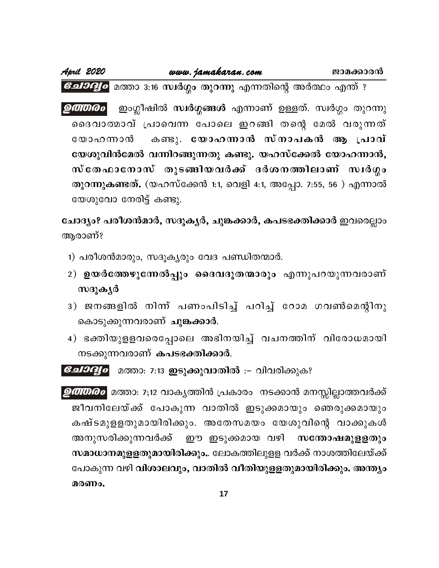| April 2020 | www.jamakaran.com                                                                | ജാമക്കാരൻ |
|------------|----------------------------------------------------------------------------------|-----------|
|            | <mark>ഭ<i>ചാദൃം</i> മത്താ 3:16 സ്വർഗ്ഗം തുറന്നു</mark> എന്നതിന്റെ അർത്ഥം എന്ത് ? |           |

**@@@@** ഇംഗ്ലീഷിൽ സ്ഥർഗ്ഗങ്ങൾ എന്നാണ് ഉള്ളത്. സ്വർഗ്ഗം തുറന്നു ദൈവാത്മാവ് പ്രാവെന്ന പോലെ ഇറങ്ങി തന്റെ മേൽ വരുന്നത് കണ്ടു. യോഹന്നാൻ സ്നാപകൻ ആ പ്രാവ് യോഹന്നാൻ യേശുവിൻമേൽ വന്നിറങ്ങുന്നതു കണ്ടു. യഹസ്ക്കേൽ യോഹന്നാൻ, സ്തേഫാനോസ് തുടങ്ങിയവർക്ക് ദർശനത്തിലാണ് സ്വർഗ്ഗം തുറന്നുകണ്ടത്. (യഹസ്ക്കേൻ 1:1, വെളി 4:1, അപ്പോ. 7:55, 56 ) എന്നാൽ യേശുവോ നേരിട്ട് കണ്ടു.

ചോദ്യം? പരീശൻമാർ, സദൂകൃർ, ചുങ്കക്കാർ, കപടഭക്തിക്കാർ ഇവരെല്ലാം ആരാണ്?

- 1) പരീശൻമാരും, സദൂകൃരും വേദ പണ്ഡിതന്മാർ.
- 2) ഉയർത്തേഴുന്നേൽപ്പും ദൈവദൂതന്മാരും എന്നുപറയുന്നവരാണ് സദൂകൃർ
- 3) ജനങ്ങളിൽ നിന്ന് പണംപിടിച്ച് പറിച്ച് റോമ ഗവൺമെന്റിനു കൊടുക്കുന്നവരാണ് **ചുങ്കക്കാ**ർ.
- 4) ഭക്തിയുളളവരെപ്പോലെ അഭിനയിച്ച് വചനത്തിന് വിരോധമായി നടക്കുന്നവരാണ് കപടഭക്തിക്കാർ.
- *ലോദൃം* മത്താ: 7:13 ഇടുക്കുവാതിൽ :– വിവരിക്കുക?
- *ഉത്തരം* മത്താ: 7;12 വാകൃത്തിൻ പ്രകാരം നടക്കാൻ മനസ്സില്ലാത്തവർക്ക് ജീവനിലേയ്ക്ക് പോകുന്ന വാതിൽ ഇടുക്കമായും ഞെരുക്കമായും കഷ്ടമുളളതുമായിരിക്കും. അതേസമയം യേശുവിന്റെ വാക്കുകൾ അനുസരിക്കുന്നവർക്ക് ഈ ഇടുക്കമായ വഴി സന്തോഷമുളളതും സമാധാനമുളളതുമായിരിക്കും.. ലോകത്തിലുളള വർക്ക് നാശത്തിലേയ്ക്ക് പോകുന്ന വഴി വിശാലവും, വാതിൽ വീതിയുളളതുമായിരിക്കും. അന്ത്യം മരണം.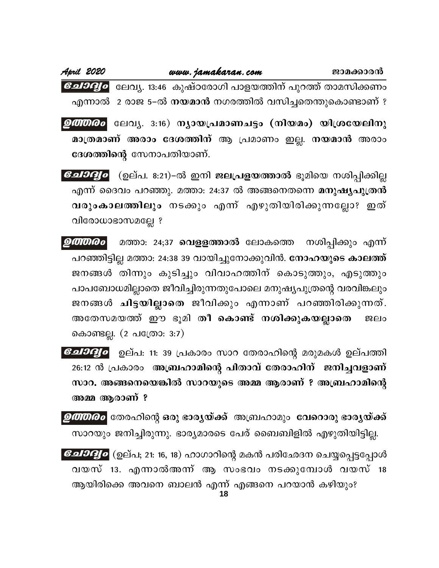| April 2020 |  | www.jamakaran.com                                                              | ജാമക്കാരൻ |
|------------|--|--------------------------------------------------------------------------------|-----------|
|            |  | <mark>ഭ<i>ചാദൃം</i> ലേവൃ. 13:46 കുഷ്ഠരോഗി പാളയത്തിന് പുറത്ത് താമസിക്കണം</mark> |           |
|            |  | എന്നാൽ 2 രാജ 5–ൽ <b>നയമാൻ</b> നഗരത്തിൽ വസിച്ചതെന്തുകൊണ്ടാണ് ?                  |           |
|            |  | $[0.00000]$ ലേവ $(0.00000)$ സ്യായപ്രമാണചട്ടം (നിയമം) യിശ്രയേലിനു               |           |

മാത്രമാണ് അരാം ദേശത്തിന് ആ പ്രമാണം ഇല്ല. നയമാൻ അരാം ദേശത്തിന്റെ സേനാപതിയാണ്.

- (ഉല്പ. 8:21)–ൽ ഇനി ജ<mark>ലപ്രളയത്താ</mark>ൽ ഭൂമിയെ നശിപ്പിക്കില്ല <u> မောဝမျှ မြေ</u> എന്ന് ദൈവം പറഞ്ഞു. മത്താ: 24:37 ൽ അങ്ങനെതന്നെ മനുഷ്യപുത്രൻ വരുംകാലത്തിലും നടക്കും എന്ന് എഴുതിയിരിക്കുന്നല്ലോ? ഇത് വിരോധാഭാസമല്ലേ ?
- മത്താ: 24;37 **വെളളത്താ**ൽ ലോകത്തെ *@@@@@@* നശിപ്പിക്കും എന്ന് പറഞ്ഞിട്ടില്ല മത്താ: 24:38 39 വായിച്ചുനോക്കുവിൻ. <mark>നോഹയുടെ കാലത്ത്</mark> ജനങ്ങൾ തിന്നും കുടിച്ചും വിവാഹത്തിന് കൊടുത്തും, എടുത്തും പാപബോധമില്ലാതെ ജീവിച്ചിരുന്നതുപോലെ മനുഷ്യപുത്രന്റെ വരവിങ്കലും ജനങ്ങൾ ചിട്ടയില്ലാതെ ജീവിക്കും എന്നാണ് പറഞ്ഞിരിക്കുന്നത്. അതേസമയത്ത് ഈ ഭൂമി തീ കൊണ്ട് നശിക്കുകയല്ലാതെ ஜபு കൊണ്ടല്ല. (2 പത്രോ: 3:7)
- **GoldQlo** ഉല്പ: 11: 39 പ്രകാരം സാറ തേരാഹിന്റെ മരുമകൾ ഉല്പത്തി 26:12 ൻ പ്രകാരം അബ്രഹാമിന്റെ പിതാവ് തേരാഹിന് ജനിച്ചവളാണ് സാറ. അങ്ങനെയെങ്കിൽ സാറയുടെ അമ്മ ആരാണ് ? അബ്രഹാമിന്റെ അമ്മ ആരാണ് ?
- *ഉത്തരം* തേരഹിന്റെ ഒരു ഭാരൃയ്ക്ക് അബ്രഹാമും വേറൊരു ഭാരൃയ്ക്ക് സാറയും ജനിച്ചിരുന്നു. ഭാര്യമാരടെ പേര് ബൈബിളിൽ എഴുതിയിട്ടില്ല.
- *ലേ1903] o* (ഉല്പ; 21: 16, 18) ഹാഗാറിന്റെ മകൻ പരിഛേദന ചെയ്യപ്പെട്ടപ്പോൾ വയസ് 13. എന്നാൽഅന്ന് ആ സംഭവം നടക്കുമ്പോൾ വയസ് 18 ആയിരിക്കെ അവനെ ബാലൻ എന്ന് എങ്ങനെ പറയാൻ കഴിയും? 18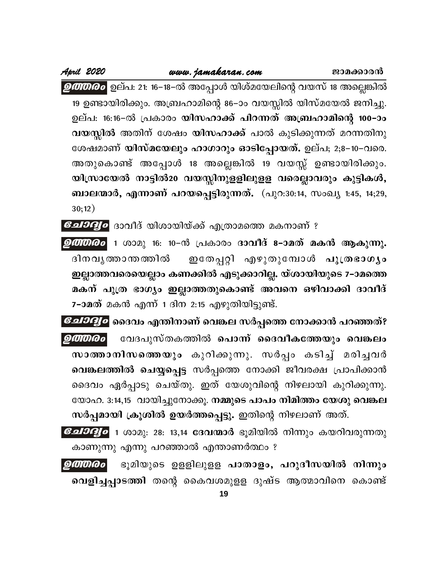<mark>ூഗ്നഗരം</mark> ഉല്പ: 21: 16−18−ൽ അപ്പോൾ യിശ്മയേലിന്റെ വയസ് 18 അല്ലെങ്കിൽ 19 ഉണ്ടായിരിക്കും. അബ്രഹാമിന്റെ 86–ാം വയസ്സിൽ യിസ്മയേൽ ജനിച്ചു. ഉല്പ: 16:16−ൽ പ്രകാരം യിസഹാക്ക് പിറന്നത് അബ്രഹാമിന്റെ 100−ാം **വയസ്സിൽ അതിന് ശേഷം യിസഹാക്ക്** പാൽ കുടിക്കുന്നത് മറന്നതിനു ശേഷമാണ് **യിസ്മയേലും ഹാഗാറും ഓടിപ്പോയത്.** ഉല്പ; 2;8−10−വരെ. ങ്ങളെടായിരിക്കും. അബ്രഹാമത്യെ രേ–ാം വയസ്സിത യിസമയേത് ജനിച്ചു.<br>ഉല്പ: 16:16–ൽ പ്രകാരം യിസഹാക്ക് പിറന്നത് അബ്രഹാമിന്റെ 100–ാം<br>വയസ്സിൽ അതിന് ശേഷം യിസഹാക്ക് പാൽ കുടിക്കുന്നത് മറന്നതിനു<br>ശേഷമാണ് യിസ്മയേലും ഹാഗാറും ഓടിപ്പോയത്. ഉല യിസ്രായേൽ നാട്ടിൽ20 വയസ്സിനുളളിലുളള വരെല്ലാവരും കുട്ടികൾ, ബാലന്മാർ, എന്നാണ് പറയപ്പെട്ടിരുന്നത്. (പുറ:30:14, സംഖ്യ 1:45, 14;29, 30;12)

<mark>*ചോദ്യ</mark>ം* ദാവീദ് യിശായിയ്ക്ക് എത്രാമത്തെ മകനാണ് ?</mark>

- 1 ശാമു 16: 10–ൻ പ്രകാരം **ദാവീദ് 8–ാമത് മകൻ ആകുന്നു.** 30;12)<br><mark>ചലലൂ</mark>ം ദാവീദ് യിശായിയ്ക്ക് എത്രാമത്തെ മകനാണ് ?<br>മ്രമ്മരം 1 ശാമു 16: 10–ൻ പ്രകാരം <mark>ദാവീദ് 8-ാമത് മകൻ ആകുന്നു.</mark><br>ളിനവൃത്താന്തത്തിൽ ഇതേപ്പറ്റി എഴുതുമ്പോൾ പുത്രഭാഗൃം<br>ഇല്ലാത്തവരെയെല്ലാം കണക്കിൽ എടുക്കാറില്ല. യ്ശായിയുടെ 7 ഇല്ലാത്തവരെയെല്ലാം കണക്കിൽ എടുക്കാറില്ല. യ്ശായിയുടെ **7–ാമ**ത്തെ മകന് പുത്ര ഭാഗ്യം ഇല്ലാത്തതുകൊണ്ട് അവനെ ഒഴിവാക്കി ദാവീദ് **7–ാമത്** മകൻ എന്ന് 1 ദിന 2:15 എഴുതിയിട്ടുണ്ട്.
- ദൈവം എന്തിനാണ് വെങ്കല സർപ്പത്തെ നോക്കാൻ പറഞ്ഞത്? <sub>i</sub>ത്ര ഭാഗ്യം ഇല്ലാത്തതുകൊണ്ട് അവനെ ഒഴിവാക്കി ദാവീദ്<br>കൻ എന്ന് 1 ദിന 2:15 എഴുതിയിട്ടുണ്ട്.<br>ദൈവം എന്തിനാണ് വെങ്കല സർപ്പത്തെ നോക്കാൻ പറഞ്ഞത്?<br>വേദപുസ്തകത്തിൽ പൊന്ന് ദൈവീകത്തേയും വെങ്കലം<br>നിസത്തെയും കുറിക്കുന്നു. സർപ്പം കടിച്ച് 7-ാമത് മകൻ എന്ന് 1 ദിന<sup>്</sup> 2:15 എഴുതിയിട്ടുണ്ട്.<br>*വലല്ലൂo* ദൈവം എന്തിനാണ് വെങ്കല സർപ്പത്തെ നോക്കാൻ പറഞ്ഞത്?<br>*സ്ഥരം* ലേദപുസ്തകത്തിൽ പൊന്ന് ദൈവീകത്തേയും വെങ്കലം<br>സാത്താനിസത്തെയും കുറിക്കുന്നു. സർപ്പം കടിച്ച് മരിച്ചവർ<br>വെ **വെങ്കലത്തിൽ ചെയ്യപ്പെട്ട** സർപ്പത്തെ നോക്കി ജീവരക്ഷ പ്രാപിക്കാൻ ദൈവം ഏർപ്പാടു ചെയ്തു. ഇത് യേശുവിന്റെ നിഴലായി കുറിക്കുന്നു. യോഹ. 3:14,15 വായിച്ചുനോക്കൂ. <mark>നമ്മുടെ പാപം നിമിത്തം യേശു വെങ്കല</mark> സർപ്പമായി ക്രൂശിൽ ഉയർത്തപ്പെട്ടു. ഇതിന്റെ നിഴലാണ് അത്.
- <mark>്ക്ഷോദ്ദ്വ</mark>ം 1 ശാമു: 28: 13,14 **ദേവന്മാർ** ഭൂമിയിൽ നിന്നും കയറിവരുന്നതു കാണുന്നു എന്നു പറഞ്ഞാൽ എന്താണർത്ഥം ?
- *ഉത്തരം* **ഭൂമിയുടെ ഉളളിലുളള പാതാളം, പറുദീസയിൽ നിന്നും** വെ<mark>ളിച്ചപ്പാടത്തി</mark> തന്റെ കൈവശമുളള ദുഷ്ട ആത്മാവിനെ കൊണ്ട്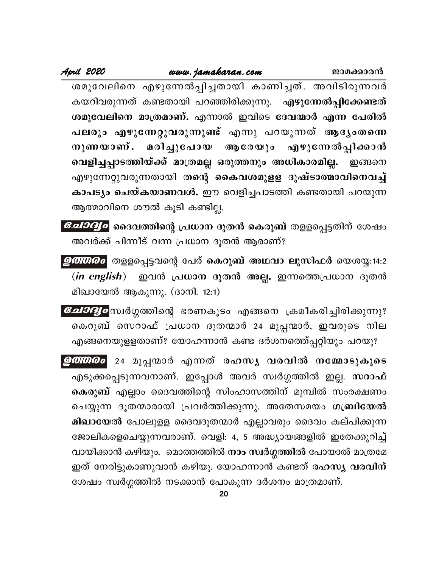ശമുവേലിനെ എഴുന്നേൽപ്പിച്ചതായി കാണിച്ചത്. അവിടിരുന്നവർ കയറിവരുന്നത് കണ്ടതായി പറഞ്ഞിരിക്കുന്നു. എഴുന്നേൽപ്പിക്കേണ്ടത് ശമുവേലിനെ മാത്രമാണ്. എന്നാൽ ഇവിടെ ദേവന്മാർ എന്ന പേരിൽ പലരും എഴുന്നേറ്റുവരുന്നുണ്ട് എന്നു പറയുന്നത് ആദ്യംതന്നെ മരിച്ചുപോയ ആരേയും എഴുന്നേൽപ്പിക്കാൻ നുണയാണ്. വെളിച്ചപ്പാടത്തിയ്ക്ക് മാത്രമല്ല ഒരുത്തനും അധികാരമില്ല. ഇങ്ങനെ എഴുന്നേറ്റുവരുന്നതായി തന്റെ കൈവശമുളള ദുഷ്ടാത്മാവിനെവച്ച് കാപട്യം ചെയ്കയാണവൾ. ഈ വെളിച്ചപാടത്തി കണ്ടതായി പറയുന്ന ആത്മാവിനെ ശൗൽ കൂടി കണ്ടില്ല.

- ∕ *ലേ199ൃo* ദൈവത്തിന്റെ പ്രധാന ദൂതൻ കെരൂബ് തളളപ്പെട്ടതിന് ശേഷം അവർക്ക് പിന്നീട് വന്ന പ്രധാന ദൂതൻ ആരാണ്?
- *ഉത്തരം* തളളപ്പെട്ടവന്റെ പേര് കെറൂബ് അഥവാ ലൂസിഫർ യെശയ്യ:14:2  $(in \text{ english})$ ഇവൻ പ്രധാന ദൂതൻ അല്ല. ഇന്നത്തെപ്രധാന ദൂതൻ മിഖായേൽ ആകുന്നു. (ദാനി. 12:1)
- *Gചാദൃo* സ്വർഗ്ഗത്തിന്റെ ഭരണകൂടം എങ്ങനെ ക്രമീകരിച്ചിരിക്കുന്നു? കെറൂബ് സെറാഫ് പ്രധാന ദൂതന്മാർ 24 മൂപ്പന്മാർ, ഇവരുടെ നില എങ്ങനെയുളളതാണ്? യോഹന്നാൻ കണ്ട ദർശനത്തെ്പ്പറ്റിയും പറയൂ?
- *ഉത്തരം* 24 മൂപ്പന്മാർ എന്നത് രഹസ്യ വരവിൽ നമ്മോടുകൂടെ എടുക്കപ്പെടുന്നവനാണ്. ഇപ്പോൾ അവർ സ്വർഗ്ഗത്തിൽ ഇല്ല. <mark>സറാഫ്</mark> കെരൂബ് എല്ലാം ദൈവത്തിന്റെ സിംഹാസത്തിന് മുമ്പിൽ സംരക്ഷണം ചെയ്യുന്ന ദൂതന്മാരായി പ്രവർത്തിക്കുന്നു. അതേസമയം <mark>ഗബ്രിയേൽ</mark> മിഖായേൽ പോലുളള ദൈവദൂതന്മാർ എല്ലാവരും ദൈവം കല്പിക്കുന്ന ജോലികളെചെയ്യുന്നവരാണ്. വെളി: 4, 5 അദ്ധ്യായങ്ങളിൽ ഇതേക്കുറിച്ച് വായിക്കാൻ കഴിയും. മൊത്തത്തിൽ <mark>നാം സ്വർഗ്ഗത്തിൽ</mark> പോയാൽ മാത്രമേ ഇത് നേരിട്ടുകാണുവാൻ കഴിയൂ. യോഹന്നാൻ കണ്ടത് രഹസ്യ വരവിന് ശേഷം സ്വർഗ്ഗത്തിൽ നടക്കാൻ പോകുന്ന ദർശനം മാത്രമാണ്.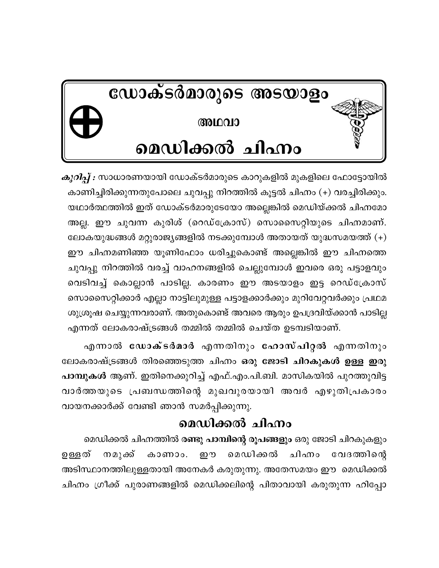

*കുറിപ്പ് :* സാധാരണയായി ഡോക്ടർമാരുടെ കാറുകളിൽ മുകളിലെ ഫോട്ടോയിൽ കാണിച്ചിരിക്കുന്നതുപോലെ ചുവപ്പു നിറത്തിൽ കൂട്ടൽ ചിഹ്നം (+) വരച്ചിരിക്കും. യഥാർത്ഥത്തിൽ ഇത് ഡോക്ടർമാരുടേയോ അല്ലെങ്കിൽ മെഡിയ്ക്കൽ ചിഹ്നമോ അല്ല. ഈ ചുവന്ന കുരിശ് (റെഡ്ക്രോസ്) സൊസൈറ്റിയുടെ ചിഹ്നമാണ്. ലോകയുദ്ധങ്ങൾ മറ്റുരാജ്യങ്ങളിൽ നടക്കുമ്പോൾ അതായത് യുദ്ധസമയത്ത് (+) ഈ ചിഹ്നമണിഞ്ഞ യൂണിഫോം ധരിച്ചുകൊണ്ട് അല്ലെങ്കിൽ ഈ ചിഹ്നത്തെ ചുവപ്പു നിറത്തിൽ വരച്ച് വാഹനങ്ങളിൽ ചെല്ലുമ്പോൾ ഇവരെ ഒരു പട്ടാളവും വെടിവച്ച് കൊല്ലാൻ പാടില്ല. കാരണം ഈ അടയാളം ഇട്ട റെഡ്ക്രോസ് സൊസൈറ്റിക്കാർ എല്ലാ നാട്ടിലുമുള്ള പട്ടാളക്കാർക്കും മുറിവേറ്റവർക്കും പ്രഥമ ശുശ്രൂഷ ചെയ്യുന്നവരാണ്. അതുകൊണ്ട് അവരെ ആരും ഉപദ്രവിയ്ക്കാൻ പാടില്ല എന്നത് ലോകരാഷ്ട്രങ്ങൾ തമ്മിൽ തമ്മിൽ ചെയ്ത ഉടമ്പടിയാണ്.

എന്നാൽ ഡോക്ടർമാർ എന്നതിനും ഹോസ്പിറ്റൽ എന്നതിനും ലോകരാഷ്ട്രങ്ങൾ തിരഞ്ഞെടുത്ത ചിഹ്നം ഒരു ജോടി ചിറകുകൾ ഉള്ള ഇരു പാമ്പുകൾ ആണ്. ഇതിനെക്കുറിച്ച് എഫ്.എം.പി.ബി. മാസികയിൽ പുറത്തുവിട്ട വാർത്തയുടെ പ്രബന്ധത്തിന്റെ മുഖവുരയായി അവർ എഴുതിപ്രകാരം വായനക്കാർക്ക് വേണ്ടി ഞാൻ സമർപ്പിക്കുന്നു.

# മെഡിക്കൽ ചിഹ്നം

മെഡിക്കൽ ചിഹ്നത്തിൽ രണ്ടു പാമ്പിന്റെ രൂപങ്ങളും ഒരു ജോടി ചിറകുകളും നമുക്ക് മെഡിക്കൽ ചിഹ്നം ഉള്ളത് കാണാം. ஹ വേദത്തിന്റെ അടിസ്ഥാനത്തിലുള്ളതായി അനേകർ കരുതുന്നു. അതേസമയം ഈ മെഡിക്കൽ ചിഹ്നം ഗ്രീക്ക് പുരാണങ്ങളിൽ മെഡിക്കലിന്റെ പിതാവായി കരുതുന്ന ഹിപ്പോ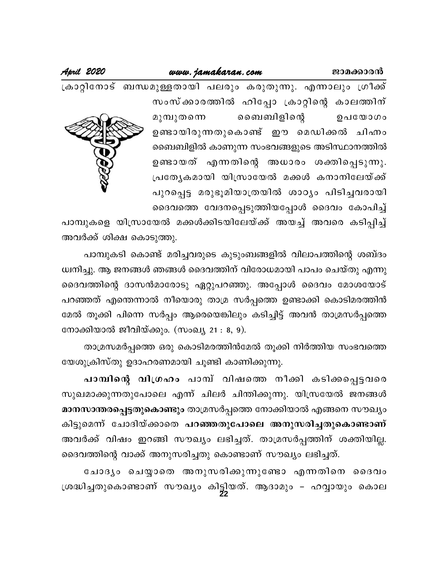### ജാമക്കാരൻ

### www.jamakaran.com

ക്രാറ്റിനോട് ബന്ധമുള്ളതായി പലരും കരുതുന്നു. എന്നാലും ഗ്രീക്ക് സംസ്ക്കാരത്തിൽ ഹിപ്പോ ക്രാറ്റിന്റെ കാലത്തിന് ബൈബിളിന്റെ മുമ്പുതന്നെ ഉപയോഗം ഉണ്ടായിരുന്നതുകൊണ്ട് ഈ മെഡിക്കൽ ചിഹ്നം ബൈബിളിൽ കാണുന്ന സംഭവങ്ങളുടെ അടിസ്ഥാനത്തിൽ ഉണ്ടായത് എന്നതിന്റെ അധാരം ശക്തിപ്പെടുന്നു. പ്രത്യേകമായി യിസ്രായേൽ മക്കൾ കനാനിലേയ്ക്ക് പുറപ്പെട്ട മരുഭൂമിയാത്രയിൽ ശാഠ്യം പിടിച്ചവരായി ദൈവത്തെ വേദനപ്പെടുത്തിയപ്പോൾ ദൈവം കോപിച്ച്



പാമ്പുകളെ യിസ്രായേൽ മക്കൾക്കിടയിലേയ്ക്ക് അയച്ച് അവരെ കടിപ്പിച്ച് അവർക്ക് ശിക്ഷ കൊടുത്തു.

പാമ്പുകടി കൊണ്ട് മരിച്ചവരുടെ കുടുംബങ്ങളിൽ വിലാപത്തിന്റെ ശബ്ദം ധ്വനിച്ചു. ആ ജനങ്ങൾ ഞങ്ങൾ ദൈവത്തിന് വിരോധമായി പാപം ചെയ്തു എന്നു ദൈവത്തിന്റെ ദാസൻമാരോടു ഏറ്റുപറഞ്ഞു. അപ്പോൾ ദൈവം മോശയോട് പറഞ്ഞത് എന്തെന്നാൽ നീയൊരു താമ്ര സർപ്പത്തെ ഉണ്ടാക്കി കൊടിമരത്തിൻ മേൽ തൂക്കി പിന്നെ സർപ്പം ആരെയെങ്കിലും കടിച്ചിട്ട് അവൻ താമ്രസർപ്പത്തെ നോക്കിയാൽ ജീവിയ്ക്കും. (സംഖ്യ 21 : 8, 9).

താമ്രസമർപ്പത്തെ ഒരു കൊടിമരത്തിൻമേൽ തൂക്കി നിർത്തിയ സംഭവത്തെ യേശുക്രിസ്തു ഉദാഹരണമായി ചൂണ്ടി കാണിക്കുന്നു.

പാമ്പിന്റെ വിഗ്രഹം പാമ്പ് വിഷത്തെ നീക്കി കടിക്കപ്പെട്ടവരെ സുഖമാക്കുന്നതുപോലെ എന്ന് ചിലർ ചിന്തിക്കുന്നു. യിസ്രയേൽ ജനങ്ങൾ മാനസാന്തരപ്പെട്ടതുകൊണ്ടും താമ്രസർപ്പത്തെ നോക്കിയാൽ എങ്ങനെ സൗഖ്യം കിട്ടുമെന്ന് ചോദിയ്ക്കാതെ പറഞ്ഞതുപോലെ അനുസരിച്ചതുകൊണ്ടാണ് അവർക്ക് വിഷം ഇറങ്ങി സൗഖ്യം ലഭിച്ചത്. താമ്രസർപ്പത്തിന് ശക്തിയില്ല. ദൈവത്തിന്റെ വാക്ക് അനുസരിച്ചതു കൊണ്ടാണ് സൗഖ്യം ലഭിച്ചത്.

ചോദൃം ചെയ്യാതെ അനുസരിക്കുന്നുണ്ടോ എന്നതിനെ ദൈവം ശ്രദ്ധിച്ചതുകൊണ്ടാണ് സൗഖ്യം കിട്ടുയത്. ആദാമും - ഹവ്വായും കൊല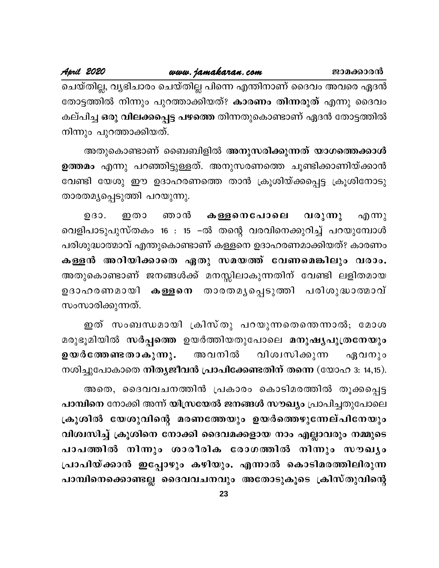ചെയ്തില്ല, വൃഭിചാരം ചെയ്തില്ല പിന്നെ എന്തിനാണ് ദൈവം അവരെ ഏദൻ തോട്ടത്തിൽ നിന്നും പുറത്താക്കിയത്? **കാരണം തിന്നരുത്** എന്നു ദൈവം കല്പിച്ച ഒരു വിലക്കപ്പെട്ട പഴത്തെ തിന്നതുകൊണ്ടാണ് ഏദൻ തോട്ടത്തിൽ നിന്നും പുറത്താക്കിയത്.

അതുകൊണ്ടാണ് ബൈബിളിൽ അനുസരിക്കുന്നത് യാഗത്തെക്കാൾ ഉത്തമം എന്നു പറഞ്ഞിട്ടുള്ളത്. അനുസരണത്തെ ചൂണ്ടിക്കാണിയ്ക്കാൻ വേണ്ടി യേശു ഈ ഉദാഹരണത്തെ താൻ ക്രൂശിയ്ക്കപ്പെട്ട ക്രൂശിനോടു താരതമൃപ്പെടുത്തി പറയുന്നു.

 $203.$ ഞാൻ വരുന്നു കള്ളനെപോലെ ഇതാ എന്നു വെളിപാടുപുസ്തകം 16 : 15 –ൽ തന്റെ വരവിനെക്കുറിച്ച് പറയുമ്പോൾ പരിശുദ്ധാത്മാവ് എന്തുകൊണ്ടാണ് കള്ളനെ ഉദാഹരണമാക്കിയത്? കാരണം കള്ളൻ അറിയിക്കാതെ ഏതു സമയത്ത് വേണമെങ്കിലും വരാം. അതുകൊണ്ടാണ് ജനങ്ങൾക്ക് മനസ്സിലാകുന്നതിന് വേണ്ടി ലളിതമായ ഉദാഹരണമായി കള്ളനെ താരതമൃപ്പെടുത്തി പരിശുദ്ധാതമാവ് സംസാരിക്കുന്നത്.

ഇത് സംബന്ധമായി ക്രിസ്തു പറയുന്നതെന്തെന്നാൽ; മോശ മരുഭൂമിയിൽ സർപ്പത്തെ ഉയർത്തിയതുപോലെ മനുഷ്യപുത്രനേയും ഉയർത്തേണ്ടതാകുന്നു. അവനിൽ വിശ്വസിക്കുന്ന ഏവനും നശിച്ചുപോകാതെ നിതൃജീവൻ പ്രാപിക്കേണ്ടതിന് തന്നെ (യോഹ  $3: 14,15$ ).

അതെ, ദൈവവചനത്തിൻ പ്രകാരം കൊടിമരത്തിൽ തൂക്കപ്പെട്ട പാമ്പിനെ നോക്കി അന്ന് യിസ്രയേൽ ജനങ്ങൾ സൗഖ്യം പ്രാപിച്ചതുപോലെ ക്രൂശിൽ യേശുവിന്റെ മരണത്തേയും ഉയർത്തെഴുന്നേല്പിനേയും വിശ്വസിച്ച് ക്രൂശിനെ നോക്കി ദൈവമക്കളായ നാം എല്ലാവരും നമ്മുടെ പാപത്തിൽ നിന്നും ശാരീരിക രോഗത്തിൽ നിന്നും സൗഖ്യം പ്രാപിയ്ക്കാൻ ഇപ്പോഴും കഴിയും. എന്നാൽ കൊടിമരത്തിലിരുന്ന പാമ്പിനെക്കൊണ്ടല്ല ദൈവവചനവും അതോടുകൂടെ ക്രിസ്തുവിന്റെ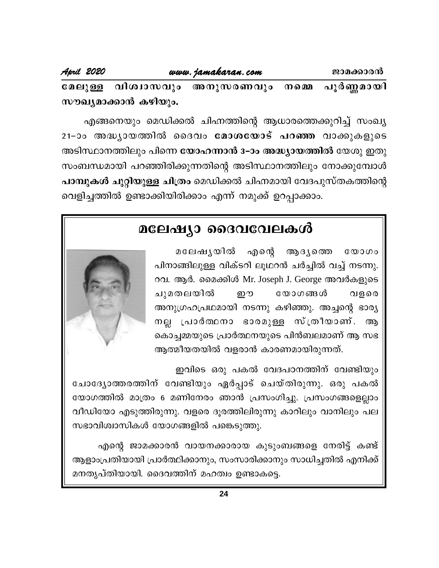പൂർണ്ണമായി മേലുള്ള വിശ്വാസവും അനുസരണവും നമ്മെ സൗഖ്യമാക്കാൻ കഴിയും.

എങ്ങനെയും മെഡിക്കൽ ചിഹ്നത്തിന്റെ ആധാരത്തെക്കുറിച്ച് സംഖ്യ 21-ാം അദ്ധ്യായത്തിൽ ദൈവം **മോശയോട് പറഞ്ഞ** വാക്കുകളുടെ അടിസ്ഥാനത്തിലും പിന്നെ യോഹന്നാൻ 3–ാം അദ്ധ്യായത്തിൽ യേശു ഇതു സംബന്ധമായി പറഞ്ഞിരിക്കുന്നതിന്റെ അടിസ്ഥാനത്തിലും നോക്കുമ്പോൾ പാമ്പുകൾ ചുറ്റിയുള്ള ചിത്രം മെഡിക്കൽ ചിഹ്നമായി വേദപുസ്തകത്തിന്റെ വെളിച്ചത്തിൽ ഉണ്ടാക്കിയിരിക്കാം എന്ന് നമുക്ക് ഉറപ്പാക്കാം.

## മലേഷ്യാ ദൈവവേലകൾ

മലേഷൃയിൽ എന്റെ ആദ്യത്തെ  $C\omega$   $O\omega$ പിനാങ്ങിലുള്ള വിക്ടറി ലൂഥറൻ ചർച്ചിൽ വച്ച് നടന്നു. റവ. ആർ. മൈക്കിൾ Mr. Joseph J. George അവർകളുടെ ചുമതലയിൽ ஹ യോഗങ്ങൾ വളരെ അനുഗ്രഹപ്രഥമായി നടന്നു കഴിഞ്ഞു. അച്ചന്റെ ഭാര്യ പ്രാർത്ഥനാ ഭാരമുള്ള സ്ത്രീയാണ്. നല്ല $\overline{a}$ ആ കൊച്ചമ്മയുടെ പ്രാർത്ഥനയുടെ പിൻബലമാണ് ആ സഭ ആത്മീയതയിൽ വളരാൻ കാരണമായിരുന്നത്.



ഇവിടെ ഒരു പകൽ വേദപഠനത്തിന് വേണ്ടിയും ചോദ്യോത്തരത്തിന് വേണ്ടിയും ഏർപ്പാട് ചെയ്തിരുന്നു. ഒരു പകൽ യോഗത്തിൽ മാത്രം 6 മണിനേരം ഞാൻ പ്രസംഗിച്ചു. പ്രസംഗങ്ങളെല്ലാം വീഡിയോ എടുത്തിരുന്നു. വളരെ ദൂരത്തിലിരുന്നു കാറിലും വാനിലും പല സഭാവിശ്വാസികൾ യോഗങ്ങളിൽ പങ്കെടുത്തു.

എന്റെ ജാമക്കാരൻ വായനക്കാരായ കുടുംബങ്ങളെ നേരിട്ട് കണ്ട് ആളാംപ്രതിയായി പ്രാർത്ഥിക്കാനും, സംസാരിക്കാനും സാധിച്ചതിൽ എനിക്ക് മനതൃപ്തിയായി. ദൈവത്തിന് മഹത്വം ഉണ്ടാകട്ടെ.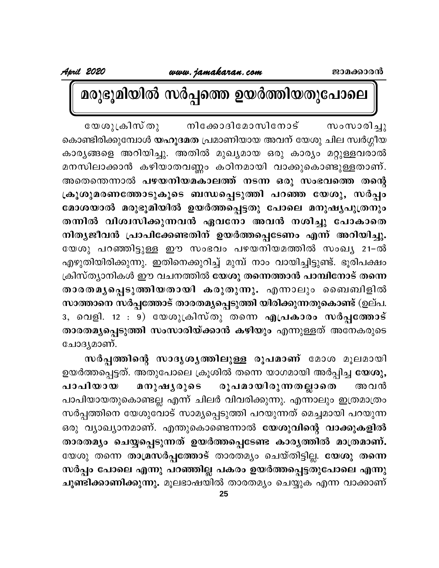മരുഭൂമിയിൽ സർപ്പത്തെ ഉയർത്തിയതുപോലെ

നിക്കോദിമോസിനോട് യേശുക്രിസ്തു സംസാരിച്ചു കൊണ്ടിരിക്കുമ്പോൾ <mark>യഹൂദമത</mark> പ്രമാണിയായ അവന് യേശു ചില സ്വർഗ്ഗീയ കാര്യങ്ങളെ അറിയിച്ചു. അതിൽ മുഖ്യമായ ഒരു കാര്യം മറ്റുള്ളവരാൽ മനസിലാക്കാൻ കഴിയാതവണ്ണം കഠിനമായി വാക്കുകൊണ്ടുള്ളതാണ്. അതെന്തെന്നാൽ പഴയനിയമകാലത്ത് നടന്ന ഒരു സംഭവത്തെ തന്റെ ക്രൂശുമരണത്തോടുകൂടെ ബന്ധപ്പെടുത്തി പറഞ്ഞ യേശു, സർപ്പം മോശയാൽ മരുഭൂമിയിൽ ഉയർത്തപ്പെട്ടതു പോലെ മനുഷ്യപുത്രനും തന്നിൽ വിശ്വസിക്കുന്നവൻ ഏവനോ അവൻ നശിച്ചു പോകാതെ നിതൃജീവൻ പ്രാപിക്കേണ്ടതിന് ഉയർത്തപ്പെടേണം എന്ന് അറിയിച്ചു. യേശു പറഞ്ഞിട്ടുള്ള ഈ സംഭവം പഴയനിയമത്തിൽ സംഖ്യ 21-ൽ എഴുതിയിരിക്കുന്നു. ഇതിനെക്കുറിച്ച് മുമ്പ് നാം വായിച്ചിട്ടുണ്ട്. ഭൂരിപക്ഷം ക്രിസ്ത്യാനികൾ ഈ വചനത്തിൽ **യേശു തന്നെത്താൻ പാമ്പിനോട് തന്നെ** താരതമൃപ്പെടുത്തിയതായി കരുതുന്നു. എന്നാലും ബൈബിളിൽ സാത്താനെ സർപ്പത്തോട് താരതമൃപ്പെടുത്തി യിരിക്കുന്നതുകൊണ്ട് (ഉല്പ. 3, വെളി. 12 : 9) യേശുക്രിസ്തു തന്നെ എപ്രകാരം സർപ്പത്തോട് താരതമൃപ്പെടുത്തി സംസാരിയ്ക്കാൻ കഴിയും എന്നുള്ളത് അനേകരുടെ ചോദൃമാണ്.

സർപ്പത്തിന്റെ സാദൃശൃത്തിലുള്ള രൂപമാണ് മോശ മൂലമായി ഉയർത്തപ്പെട്ടത്. അതുപോലെ ക്രൂശിൽ തന്നെ യാഗമായി അർപ്പിച്ച **യേശു,** പാപിയായ മനുഷൃരുടെ രൂപമായിരുന്നതല്ലാതെ അവൻ പാപിയായതുകൊണ്ടല്ല എന്ന് ചിലർ വിവരിക്കുന്നു. എന്നാലും ഇത്രമാത്രം സർപ്പത്തിനെ യേശുവോട് സാമ്യപ്പെടുത്തി പറയുന്നത് മെച്ചമായി പറയുന്ന ഒരു വ്യാഖ്യാനമാണ്. എന്തുകൊണ്ടെന്നാൽ യേശുവിന്റെ വാക്കുകളിൽ താരതമ്യം ചെയ്യപ്പെടുന്നത് ഉയർത്തപ്പെടേണ്ട കാര്യത്തിൽ മാത്രമാണ്. യേശു തന്നെ താമ്രസർപ്പത്തോട് താരതമ്യം ചെയ്തിട്ടില്ല. യേശു തന്നെ സർപ്പം പോലെ എന്നു പറഞ്ഞില്ല പകരം ഉയർത്തപ്പെട്ടതുപോലെ എന്നു ചൂണ്ടിക്കാണിക്കുന്നു. മൂലഭാഷയിൽ താരതമ്യം ചെയ്യുക എന്ന വാക്കാണ്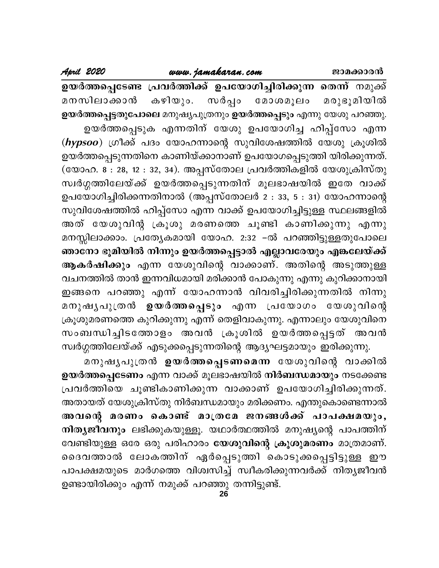ഉയർത്തപ്പെടേണ്ട പ്രവർത്തിക്ക് ഉപയോഗിച്ചിരിക്കുന്ന തെന്ന് നമുക്ക് മനസിലാക്കാൻ കഴിയും. സർപ്പം മോശമൂലം മരുഭൂമിയിൽ ഉയർത്തപ്പെട്ടതുപോലെ മനുഷ്യപുത്രനും ഉയർത്തപ്പെടും എന്നു യേശു പറഞ്ഞു. ഉയർത്തപ്പെടുക എന്നതിന് യേശു ഉപയോഗിച്ച ഹിപ്പ്സോ എന്ന (hypsoo) ഗ്രീക്ക് പദം യോഹന്നാന്റെ സുവിശേഷത്തിൽ യേശു ക്രൂശിൽ ഉയർത്തപ്പെടുന്നതിനെ കാണിയ്ക്കാനാണ് ഉപയോഗപ്പെടുത്തി യിരിക്കുന്നത്. (യോഹ. 8 : 28, 12 : 32, 34). അപ്പസ്തോല പ്രവർത്തികളിൽ യേശുക്രിസ്തു സ്വർഗ്ഗത്തിലേയ്ക്ക് ഉയർത്തപ്പെടുന്നതിന് മൂലഭാഷയിൽ ഇതേ വാക്ക് ഉപയോഗിച്ചിരിക്കന്നതിനാൽ (അപ്പസ്തോലർ 2 : 33, 5 : 31) യോഹന്നാന്റെ സുവിശേഷത്തിൽ ഹിപ്പ്സോ എന്ന വാക്ക് ഉപയോഗിച്ചിട്ടുള്ള സ്ഥലങ്ങളിൽ അത് യേശുവിന്റ ക്രൂശു മരണത്തെ ചൂണ്ടി കാണിക്കുന്നു എന്നു മനസ്സിലാക്കാം. പ്രത്യേകമായി യോഹ. 2:32 –ൽ പറഞ്ഞിട്ടുള്ളതുപോലെ ഞാനോ ഭൂമിയിൽ നിന്നും ഉയർത്തപ്പെട്ടാൽ എല്ലാവരേയും എങ്കലേയ്ക്ക് ആകർഷിക്കും എന്ന യേശുവിന്റെ വാക്കാണ്. അതിന്റെ അടുത്തുള്ള വചനത്തിൽ താൻ ഇന്നവിധമായി മരിക്കാൻ പോകുന്നു എന്നു കുറിക്കാനായി ഇങ്ങനെ പറഞ്ഞു എന്ന് യോഹന്നാൻ വിവരിച്ചിരിക്കുന്നതിൽ നിന്നു ഉയർത്തപ്പെടും എന്ന പ്രയോഗം യേശുവിന്റെ മനുഷൃപുത്രൻ ക്രൂശുമരണത്തെ കുറിക്കുന്നു എന്ന് തെളിവാകുന്നു. എന്നാലും യേശുവിനെ സംബന്ധിച്ചിടത്തോളം അവൻ ക്രൂശിൽ ഉയർത്തപ്പെട്ടത് അവൻ സ്വർഗ്ഗത്തിലേയ്ക്ക് എടുക്കപ്പെടുന്നതിന്റെ ആദ്യഘട്ടമായും ഇരിക്കുന്നു.

മനുഷൃപുത്രൻ ഉയർത്തപ്പെടണമെന്ന യേശുവിന്റെ വാക്കിൽ ഉയർത്തപ്പെടേണം എന്ന വാക്ക് മൂലഭാഷയിൽ നിർബന്ധമായും നടക്കേണ്ട പ്രവർത്തിയെ ചൂണ്ടികാണിക്കുന്ന വാക്കാണ് ഉപയോഗിച്ചിരിക്കുന്നത്. അതായത് യേശുക്രിസ്തു നിർബന്ധമായും മരിക്കണം. എന്തുകൊണ്ടെന്നാൽ അവന്റെ മരണം കൊണ്ട് മാത്രമേ ജനങ്ങൾക്ക് പാപക്ഷമയും, നിതൃജീവനും ലഭിക്കുകയുള്ളൂ. യഥാർത്ഥത്തിൽ മനുഷ്യന്റെ പാപത്തിന് വേണ്ടിയുള്ള ഒരേ ഒരു പരിഹാരം **യേശുവിന്റെ ക്രൂശുമരണം** മാത്രമാണ്. ദൈവത്താൽ ലോകത്തിന് ഏർപ്പെടുത്തി കൊടുക്കപ്പെട്ടിട്ടുള്ള ഈ പാപക്ഷമയുടെ മാർഗത്തെ വിശ്വസിച്ച് സ്വീകരിക്കുന്നവർക്ക് നിതൃജീവൻ ഉണ്ടായിരിക്കും എന്ന് നമുക്ക് പറഞ്ഞു തന്നിട്ടുണ്ട്.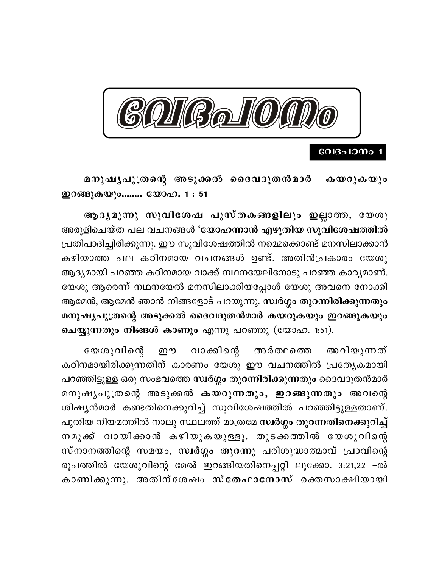

### വേദപഠനം 1

മനുഷ്യപുത്രന്റെ അടുക്കൽ ദൈവദൂതൻമാർ കയറുകയും ഇറങ്ങുകയും........ യോഹ. 1:51

ആദൃമൂന്നു സുവിശേഷ പുസ്തകങ്ങളിലും ഇല്ലാത്ത, യേശു അരുളിചെയ്ത പല വചനങ്ങൾ 'യോഹന്നാൻ എഴുതിയ സുവിശേഷത്തിൽ പ്രതിപാദിച്ചിരിക്കുന്നു. ഈ സുവിശേഷത്തിൽ നമ്മെക്കൊണ്ട് മനസിലാക്കാൻ കഴിയാത്ത പല കഠിനമായ വചനങ്ങൾ ഉണ്ട്. അതിൻപ്രകാരം യേശു ആദ്യമായി പറഞ്ഞ കഠിനമായ വാക്ക് നഥനയേലിനോടു പറഞ്ഞ കാര്യമാണ്. യേശു ആരെന്ന് നഥനയേൽ മനസിലാക്കിയപ്പോൾ യേശു അവനെ നോക്കി ആമേൻ, ആമേൻ ഞാൻ നിങ്ങളോട് പറയുന്നു. സ്വർഗ്ഗം തുറന്നിരിക്കുന്നതും മനുഷൃപുത്രന്റെ അടുക്കൽ ദൈവദുതൻമാർ കയറുകയും ഇറങ്ങുകയും ചെയ്യുന്നതും നിങ്ങൾ കാണും എന്നു പറഞ്ഞു (യോഹ. 1:51).

യേശുവിന്റെ വാക്കിന്റെ അറിയുന്നത് ஹ അ ർ ത്ഥ തെ കഠിനമായിരിക്കുന്നതിന് കാരണം യേശു ഈ വചനത്തിൽ പ്രത്യേകമായി പറഞ്ഞിട്ടുള്ള ഒരു സംഭവത്തെ സ്ഥർഗ്ഗം തുറന്നിരിക്കുന്നതും ദൈവദൂതൻമാർ മനുഷൃപുത്രന്റെ അടുക്കൽ കയറുന്നതും, ഇറങ്ങുന്നതും അവന്റെ ശിഷ്യൻമാർ കണ്ടതിനെക്കുറിച്ച് സുവിശേഷത്തിൽ പറഞ്ഞിട്ടുള്ളതാണ്. പുതിയ നിയമത്തിൽ നാലു സ്ഥലത്ത് മാത്രമേ സ്ഥർഗ്ഗം തുറന്നതിനെക്കുറിച്ച് നമുക്ക് വായിക്കാൻ കഴിയുകയുള്ളൂ. തുടക്കത്തിൽ യേശുവിന്റെ സ്നാനത്തിന്റെ സമയം, സ്വർഗ്ഗം തുറന്നു പരിശുദ്ധാത്മാവ് പ്രാവിന്റെ രൂപത്തിൽ യേശുവിന്റെ മേൽ ഇറങ്ങിയതിനെപ്പറ്റി ലൂക്കോ. 3:21,22 -ൽ കാണിക്കുന്നു. അതിന്ശേഷം സ്തേഫാനോസ് രക്തസാക്ഷിയായി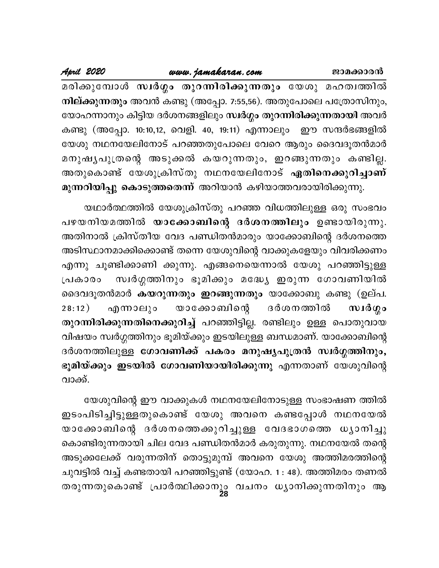മരിക്കുമ്പോൾ സ്വർഗ്ഗം തുറന്നിരിക്കുന്നതും യേശു മഹത്വത്തിൽ നില്ക്കുന്നതും അവൻ കണ്ടു (അപ്പോ. 7:55,56). അതുപോലെ പത്രോസിനും, യോഹന്നാനും കിട്ടിയ ദർശനങ്ങളിലും സ്ഥർഗ്ഗം തുറന്നിരിക്കുന്നതായി അവർ കണ്ടു (അപ്പോ. 10:10,12, വെളി. 40, 19:11) എന്നാലും ഈ സന്ദർഭങ്ങളിൽ യേശു നഥനയേലിനോട് പറഞ്ഞതുപോലെ വേറെ ആരും ദൈവദൂതൻമാർ മനുഷ്യപുത്രന്റെ അടുക്കൽ കയറുന്നതും, ഇറങ്ങുന്നതും കണ്ടില്ല. അതുകൊണ്ട് യേശുക്രിസ്തു നഥനയേലിനോട് <mark>ഏതിനെക്കുറിച്ചാണ്</mark> മുന്നറിയിപ്പു കൊടുത്തതെന്ന് അറിയാൻ കഴിയാത്തവരായിരിക്കുന്നു.

യഥാർത്ഥത്തിൽ യേശുക്രിസ്തു പറഞ്ഞ വിധത്തിലുള്ള ഒരു സംഭവം പഴയനിയമത്തിൽ യാക്കോബിന്റെ ദർശനത്തിലും ഉണ്ടായിരുന്നു. അതിനാൽ ക്രിസ്തീയ വേദ പണ്ഡിതൻമാരും യാക്കോബിന്റെ ദർശനത്തെ അടിസ്ഥാനമാക്കിക്കൊണ്ട് തന്നെ യേശുവിന്റെ വാക്കുകളേയും വിവരിക്കണം എന്നു ചൂണ്ടിക്കാണി ക്കുന്നു. എങ്ങനെയെന്നാൽ യേശു പറഞ്ഞിട്ടുള്ള സ്വർഗ്ഗത്തിനും ഭൂമിക്കും മദ്ധ്യേ ഇരുന്ന ഗോവണിയിൽ പ്രകാരം ദൈവദൂതൻമാർ കയറുന്നതും ഇറങ്ങുന്നതും യാക്കോബു കണ്ടു (ഉല്പ. യാക്കോബിന്റെ ദർശനത്തിൽ സ്ഥർഗ്ഗം  $28:12)$ എന്നാലും തുറന്നിരിക്കുന്നതിനെക്കുറിച്ച് പറഞ്ഞിട്ടില്ല. രണ്ടിലും ഉള്ള പൊതുവായ വിഷയം സ്വർഗ്ഗത്തിനും ഭൂമിയ്ക്കും ഇടയിലുള്ള ബന്ധമാണ്. യാക്കോബിന്റെ ദർശനത്തിലുള്ള ഗോവണിക്ക് പകരം മനുഷൃപുത്രൻ സ്വർഗ്ഗത്തിനും, ഭൂമിയ്ക്കും ഇടയിൽ ഗോവണിയായിരിക്കുന്നു എന്നതാണ് യേശുവിന്റെ വാക്ക്.

യേശുവിന്റെ ഈ വാക്കുകൾ നഥനയേലിനോടുള്ള സംഭാഷണ ത്തിൽ ഇടംപിടിച്ചിട്ടുള്ളതുകൊണ്ട് യേശു അവനെ കണ്ടപ്പോൾ നഥനയേൽ യാക്കോബിന്റെ ദർശനത്തെക്കുറിച്ചുള്ള വേദഭാഗത്തെ ധ്യാനിച്ചു കൊണ്ടിരുന്നതായി ചില വേദ പണ്ഡിതൻമാർ കരുതുന്നു. നഥനയേൽ തന്റെ അടുക്കലേക്ക് വരുന്നതിന് തൊട്ടുമുമ്പ് അവനെ യേശു അത്തിമരത്തിന്റെ ചുവട്ടിൽ വച്ച് കണ്ടതായി പറഞ്ഞിട്ടുണ്ട് (യോഹ. 1 : 48). അത്തിമരം തണൽ തരുന്നതുകൊണ്ട് പ്രാർത്ഥിക്കാനൂ<sub>ള</sub> വചനം ധ്യാനിക്കുന്നതിനും ആ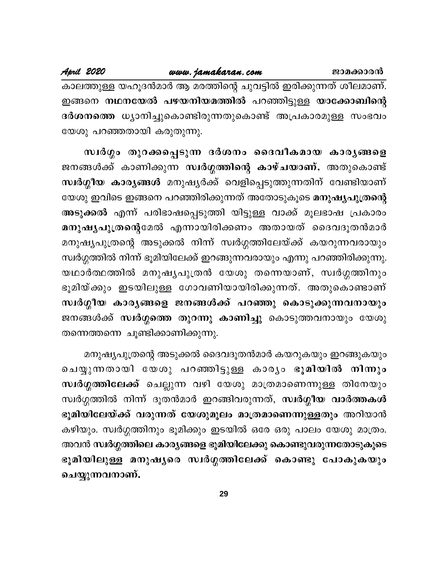കാലത്തുള്ള യഹൂദൻമാർ ആ മരത്തിന്റെ ചുവട്ടിൽ ഇരിക്കുന്നത് ശീലമാണ്. ഇങ്ങനെ നഥനയേൽ പഴയനിയമത്തിൽ പറഞ്ഞിട്ടുള്ള യാക്കോബിന്റെ ദർശനത്തെ ധ്യാനിച്ചുകൊണ്ടിരുന്നതുകൊണ്ട് അപ്രകാരമുള്ള സംഭവം യേശു പറഞ്ഞതായി കരുതുന്നു.

സ്വർഗ്ഗം തുറക്കപ്പെടുന്ന ദർശനം ദൈവീകമായ കാര്യങ്ങളെ ജനങ്ങൾക്ക് കാണിക്കുന്ന സ്വർഗ്ഗത്തിന്റെ കാഴ്ചയാണ്. അതുകൊണ്ട് സ്ഥർഗ്ഗീയ കാര്യങ്ങൾ മനുഷ്യർക്ക് വെളിപ്പെടുത്തുന്നതിന് വേണ്ടിയാണ് യേശു ഇവിടെ ഇങ്ങനെ പറഞ്ഞിരിക്കുന്നത് അതോടുകൂടെ <mark>മനുഷ്യപുത്രന്റെ</mark> അടുക്കൽ എന്ന് പരിഭാഷപ്പെടുത്തി യിട്ടുള്ള വാക്ക് മൂലഭാഷ പ്രകാരം മനുഷ്യപുത്രന്റെമേൽ എന്നായിരിക്കണം അതായത് ദൈവദൂതൻമാർ മനുഷ്യപുത്രന്റെ അടുക്കൽ നിന്ന് സ്വർഗ്ഗത്തിലേയ്ക്ക് കയറുന്നവരായും സ്വർഗ്ഗത്തിൽ നിന്ന് ഭൂമിയിലേക്ക് ഇറങ്ങുന്നവരായും എന്നു പറഞ്ഞിരിക്കുന്നു. യഥാർത്ഥത്തിൽ മനുഷ്യപുത്രൻ യേശു തന്നെയാണ്, സ്വർഗ്ഗത്തിനും ഭൂമിയ്ക്കും ഇടയിലുള്ള ഗോവണിയായിരിക്കുന്നത്. അതുകൊണ്ടാണ് സ്വർഗ്ഗീയ കാരൃങ്ങളെ ജനങ്ങൾക്ക് പറഞ്ഞു കൊടുക്കുന്നവനായും ജനങ്ങൾക്ക് സ്വർഗ്ഗത്തെ തുറന്നു കാണിച്ചു കൊടുത്തവനായും യേശു തന്നെത്തന്നെ ചൂണ്ടിക്കാണിക്കുന്നു.

മനുഷ്യപുത്രന്റെ അടുക്കൽ ദൈവദൂതൻമാർ കയറുകയും ഇറങ്ങുകയും ചെയ്യുന്നതായി യേശു പറഞ്ഞിട്ടുള്ള കാര്യം ഭൂമിയിൽ നിന്നും സ്വർഗ്ഗത്തിലേക്ക് ചെല്ലുന്ന വഴി യേശു മാത്രമാണെന്നുള്ള തിനേയും സ്വർഗ്ഗത്തിൽ നിന്ന് ദൂതൻമാർ ഇറങ്ങിവരുന്നത്, സ്വർഗ്ഗീയ വാർത്തകൾ ഭൂമിയിലേയ്ക്ക് വരുന്നത് യേശുമൂലം മാത്രമാണെന്നുള്ളതും അറിയാൻ കഴിയും. സ്വർഗ്ഗത്തിനും ഭൂമിക്കും ഇടയിൽ ഒരേ ഒരു പാലം യേശു മാത്രം. അവൻ സ്ഥർഗ്ഗത്തിലെ കാര്യങ്ങളെ ഭൂമിയിലേക്കു കൊണ്ടുവരുന്നതോടുകൂടെ ഭൂമിയിലുള്ള മനുഷ്യരെ സ്വർഗ്ഗത്തിലേക്ക് കൊണ്ടു പോകുകയും ചെയ്യുന്നവനാണ്.

29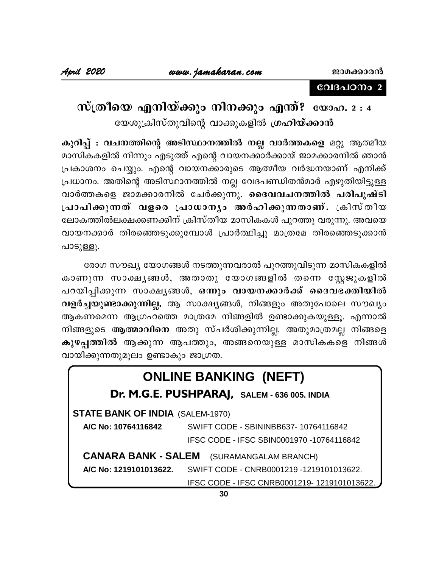### വേദപഠനം 2

സ്ത്രീയെ എനിയ്ക്കും നിനക്കും എന്ത്? യോഹ. 2 : 4 യേശുക്രിസ്തുവിന്റെ വാക്കുകളിൽ <mark>ഗ്രഹിയ്ക്കാൻ</mark>

കുറിപ്പ് : വചനത്തിന്റെ അടിസ്ഥാനത്തിൽ നല്ല വാർത്തകളെ മറ്റു ആത്മീയ മാസികകളിൽ നിന്നും എടുത്ത് എന്റെ വായനക്കാർക്കായ് ജാമക്കാരനിൽ ഞാൻ പ്രകാശനം ചെയ്യും. എന്റെ വായനക്കാരുടെ ആത്മീയ വർദ്ധനയാണ് എനിക്ക് പ്രധാനം. അതിന്റെ അടിസ്ഥാനത്തിൽ നല്ല വേദപണ്ഡിതൻമാർ എഴുതിയിട്ടുള്ള വാർത്തകളെ ജാമക്കാരനിൽ ചേർക്കുന്നു. ദൈവവചനത്തിൽ പരിപുഷ്ടി പ്രാപിക്കുന്നത് വളരെ പ്രാധാന്യം അർഹിക്കുന്നതാണ്. ക്രിസ്തീയ ലോകത്തിൽലക്ഷക്കണക്കിന് ക്രിസ്തീയ മാസികകൾ പുറത്തു വരുന്നു. അവയെ വായനക്കാർ തിരഞ്ഞെടുക്കുമ്പോൾ പ്രാർത്ഥിച്ചു മാത്രമേ തിരഞ്ഞെടുക്കാൻ പാടുള്ളൂ.

രോഗ സൗഖ്യ യോഗങ്ങൾ നടത്തുന്നവരാൽ പുറത്തുവിടുന്ന മാസികകളിൽ കാണുന്ന സാക്ഷ്യങ്ങൾ, അതാതു യോഗങ്ങളിൽ തന്നെ സ്റ്റേജുകളിൽ പറയിപ്പിക്കുന്ന സാക്ഷ്യങ്ങൾ, ഒന്നും വായനക്കാർക്ക് ദൈവഭക്തിയിൽ വളർച്ചയുണ്ടാക്കുന്നില്ല. ആ സാക്ഷ്യങ്ങൾ, നിങ്ങളും അതുപോലെ സൗഖ്യം ആകണമെന്ന ആഗ്രഹത്തെ മാത്രമേ നിങ്ങളിൽ ഉണ്ടാക്കുകയുള്ളൂ. എന്നാൽ നിങ്ങളുടെ ആത്മാവിനെ അതു സ്പർശിക്കുന്നില്ല. അതുമാത്രമല്ല നിങ്ങളെ കുഴപ്പത്തിൽ ആക്കുന്ന ആപത്തും, അങ്ങനെയുള്ള മാസികകളെ നിങ്ങൾ വായിക്കുന്നതുമൂലം ഉണ്ടാകും ജാഗ്രത.

# **ONLINE BANKING (NEFT)**

## Dr. M.G.E. PUSHPARAJ, SALEM - 636 005. INDIA

**STATE BANK OF INDIA (SALEM-1970)** 

| A/C No: 10764116842                              | SWIFT CODE - SBININBB637-10764116842                           |  |  |  |
|--------------------------------------------------|----------------------------------------------------------------|--|--|--|
|                                                  | IFSC CODE - IFSC SBIN0001970 -10764116842                      |  |  |  |
| <b>CANARA BANK - SALEM</b> (SURAMANGALAM BRANCH) |                                                                |  |  |  |
|                                                  | AC No: 1219101013622. SWIFT CODE - CNRB0001219 -1219101013622. |  |  |  |

IFSC CODE - IFSC CNRB0001219-1219101013622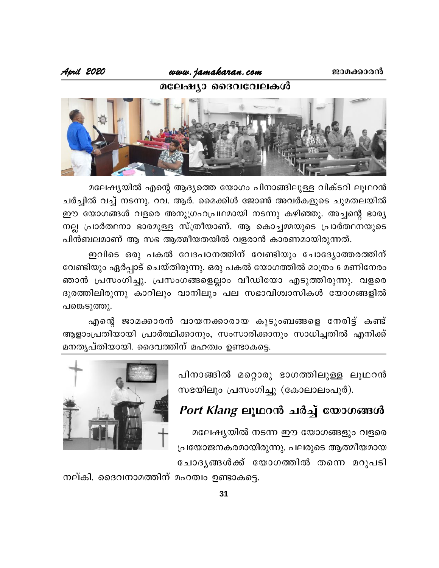## മലേഷ്യാ ദൈവവേലകൾ



മലേഷ്യയിൽ എന്റെ ആദ്യത്തെ യോഗം പിനാങ്ങിലുള്ള വിക്ടറി ലൂഥറൻ ചർച്ചിൽ വച്ച് നടന്നു. റവ. ആർ. മൈക്കിൾ ജോൺ അവർകളുടെ ചുമതലയിൽ ഈ യോഗങ്ങൾ വളരെ അനുഗ്രഹപ്രഥമായി നടന്നു കഴിഞ്ഞു. അച്ചന്റെ ഭാര്യ നല്ല പ്രാർത്ഥനാ ഭാരമുള്ള സ്ത്രീയാണ്. ആ കൊച്ചമ്മയുടെ പ്രാർത്ഥനയുടെ പിൻബലമാണ് ആ സഭ ആത്മീയതയിൽ വളരാൻ കാരണമായിരുന്നത്.

ഇവിടെ ഒരു പകൽ വേദപഠനത്തിന് വേണ്ടിയും ചോദ്യോത്തരത്തിന് വേണ്ടിയും ഏർപ്പാട് ചെയ്തിരുന്നു. ഒരു പകൽ യോഗത്തിൽ മാത്രം 6 മണിനേരം ഞാൻ പ്രസംഗിച്ചു. പ്രസംഗങ്ങളെല്ലാം വീഡിയോ എടുത്തിരുന്നു. വളരെ ദൂരത്തിലിരുന്നു കാറിലും വാനിലും പല സഭാവിശ്വാസികൾ യോഗങ്ങളിൽ പങ്കെടുത്തു.

എന്റെ ജാമക്കാരൻ വായനക്കാരായ കുടുംബങ്ങളെ നേരിട്ട് കണ്ട് ആളാംപ്രതിയായി പ്രാർത്ഥിക്കാനും, സംസാരിക്കാനും സാധിച്ചതിൽ എനിക്ക് മനതൃപ്തിയായി. ദൈവത്തിന് മഹത്വം ഉണ്ടാകട്ടെ.

> പിനാങ്ങിൽ മറ്റൊരു ഭാഗത്തിലുള്ള ലൂഥറൻ സഭയിലും പ്രസംഗിച്ചു (കോലാലംപൂർ).

# Port Klang ലൂഥറൻ ചർച്ച് യോഗങ്ങൾ

മലേഷ്യയിൽ നടന്ന ഈ യോഗങ്ങളും വളരെ പ്രയോജനകരമായിരുന്നു. പലരുടെ ആത്മീയമായ ചോദ്യങ്ങൾക്ക് യോഗത്തിൽ തന്നെ മറുപടി



നല്കി. ദൈവനാമത്തിന് മഹത്വം ഉണ്ടാകട്ടെ.